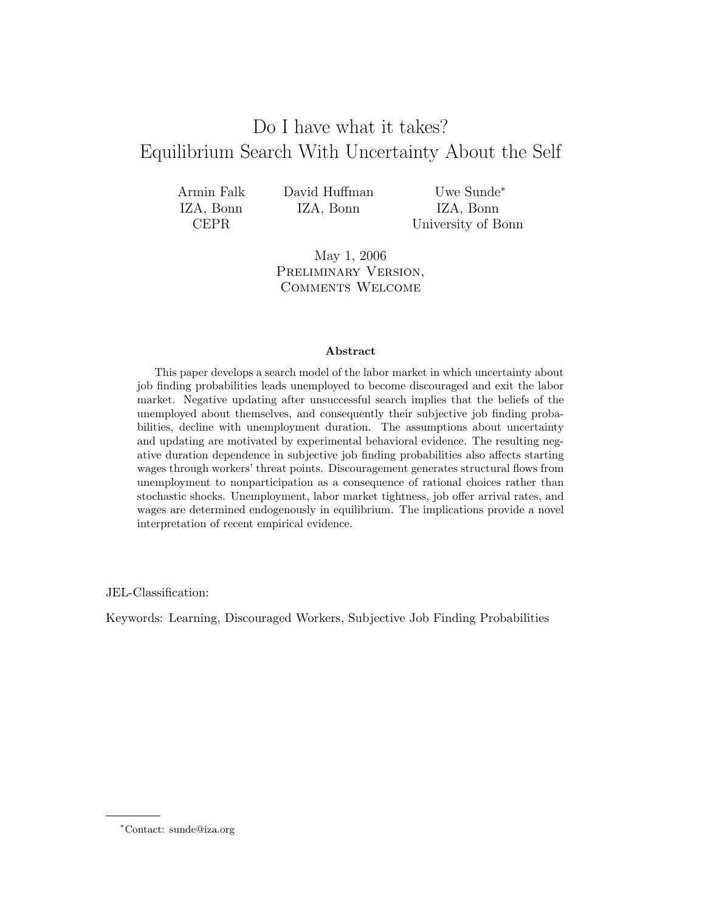# Do I have what it takes? Equilibrium Search With Uncertainty About the Self

| Armin Falk  | David Huffman |  |
|-------------|---------------|--|
| IZA, Bonn   | IZA, Bonn     |  |
| <b>CEPR</b> |               |  |

Uwe Sunde<sup>∗</sup> IZA, Bonn University of Bonn

May 1, 2006 PRELIMINARY VERSION, Comments Welcome

#### Abstract

This paper develops a search model of the labor market in which uncertainty about job finding probabilities leads unemployed to become discouraged and exit the labor market. Negative updating after unsuccessful search implies that the beliefs of the unemployed about themselves, and consequently their subjective job finding probabilities, decline with unemployment duration. The assumptions about uncertainty and updating are motivated by experimental behavioral evidence. The resulting negative duration dependence in subjective job finding probabilities also affects starting wages through workers' threat points. Discouragement generates structural flows from unemployment to nonparticipation as a consequence of rational choices rather than stochastic shocks. Unemployment, labor market tightness, job offer arrival rates, and wages are determined endogenously in equilibrium. The implications provide a novel interpretation of recent empirical evidence.

JEL-Classification:

Keywords: Learning, Discouraged Workers, Subjective Job Finding Probabilities

<sup>∗</sup>Contact: sunde@iza.org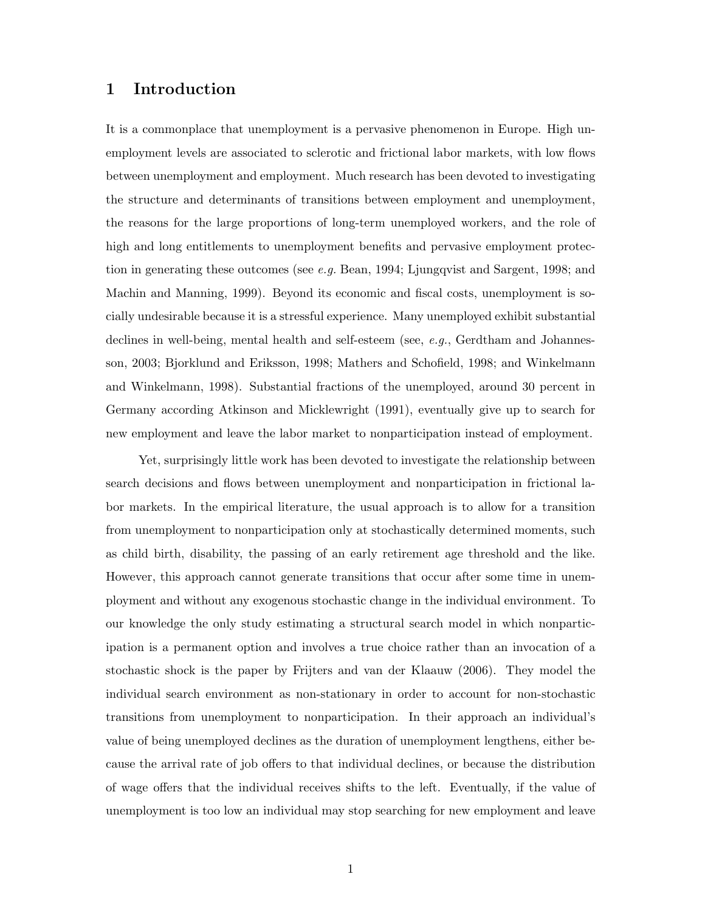### 1 Introduction

It is a commonplace that unemployment is a pervasive phenomenon in Europe. High unemployment levels are associated to sclerotic and frictional labor markets, with low flows between unemployment and employment. Much research has been devoted to investigating the structure and determinants of transitions between employment and unemployment, the reasons for the large proportions of long-term unemployed workers, and the role of high and long entitlements to unemployment benefits and pervasive employment protection in generating these outcomes (see e.g. Bean, 1994; Ljungqvist and Sargent, 1998; and Machin and Manning, 1999). Beyond its economic and fiscal costs, unemployment is socially undesirable because it is a stressful experience. Many unemployed exhibit substantial declines in well-being, mental health and self-esteem (see, e.g., Gerdtham and Johannesson, 2003; Bjorklund and Eriksson, 1998; Mathers and Schofield, 1998; and Winkelmann and Winkelmann, 1998). Substantial fractions of the unemployed, around 30 percent in Germany according Atkinson and Micklewright (1991), eventually give up to search for new employment and leave the labor market to nonparticipation instead of employment.

Yet, surprisingly little work has been devoted to investigate the relationship between search decisions and flows between unemployment and nonparticipation in frictional labor markets. In the empirical literature, the usual approach is to allow for a transition from unemployment to nonparticipation only at stochastically determined moments, such as child birth, disability, the passing of an early retirement age threshold and the like. However, this approach cannot generate transitions that occur after some time in unemployment and without any exogenous stochastic change in the individual environment. To our knowledge the only study estimating a structural search model in which nonparticipation is a permanent option and involves a true choice rather than an invocation of a stochastic shock is the paper by Frijters and van der Klaauw (2006). They model the individual search environment as non-stationary in order to account for non-stochastic transitions from unemployment to nonparticipation. In their approach an individual's value of being unemployed declines as the duration of unemployment lengthens, either because the arrival rate of job offers to that individual declines, or because the distribution of wage offers that the individual receives shifts to the left. Eventually, if the value of unemployment is too low an individual may stop searching for new employment and leave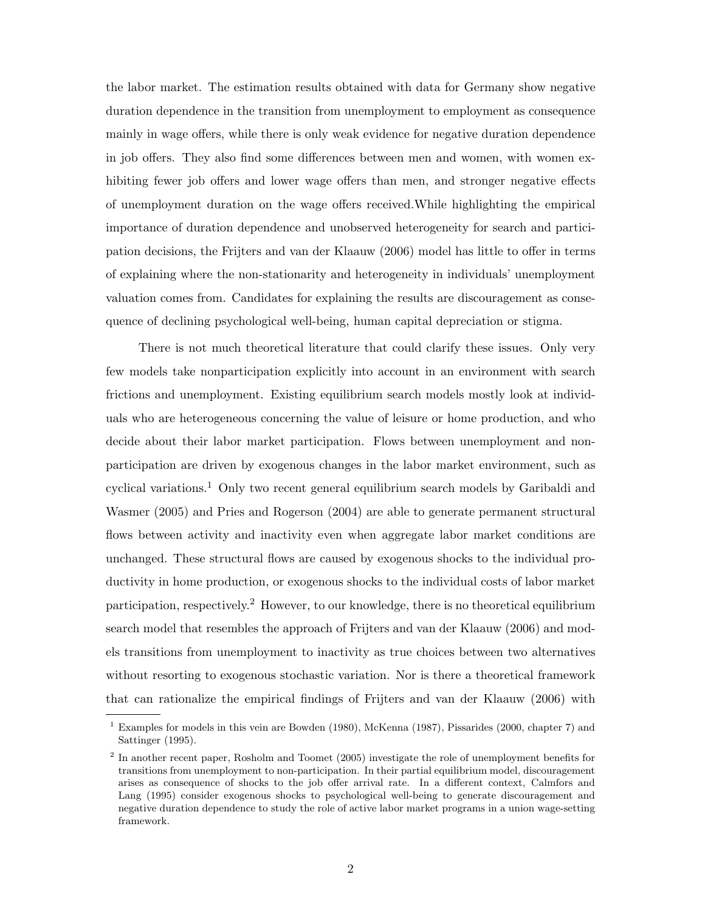the labor market. The estimation results obtained with data for Germany show negative duration dependence in the transition from unemployment to employment as consequence mainly in wage offers, while there is only weak evidence for negative duration dependence in job offers. They also find some differences between men and women, with women exhibiting fewer job offers and lower wage offers than men, and stronger negative effects of unemployment duration on the wage offers received.While highlighting the empirical importance of duration dependence and unobserved heterogeneity for search and participation decisions, the Frijters and van der Klaauw (2006) model has little to offer in terms of explaining where the non-stationarity and heterogeneity in individuals' unemployment valuation comes from. Candidates for explaining the results are discouragement as consequence of declining psychological well-being, human capital depreciation or stigma.

There is not much theoretical literature that could clarify these issues. Only very few models take nonparticipation explicitly into account in an environment with search frictions and unemployment. Existing equilibrium search models mostly look at individuals who are heterogeneous concerning the value of leisure or home production, and who decide about their labor market participation. Flows between unemployment and nonparticipation are driven by exogenous changes in the labor market environment, such as cyclical variations.<sup>1</sup> Only two recent general equilibrium search models by Garibaldi and Wasmer (2005) and Pries and Rogerson (2004) are able to generate permanent structural flows between activity and inactivity even when aggregate labor market conditions are unchanged. These structural flows are caused by exogenous shocks to the individual productivity in home production, or exogenous shocks to the individual costs of labor market participation, respectively.<sup>2</sup> However, to our knowledge, there is no theoretical equilibrium search model that resembles the approach of Frijters and van der Klaauw (2006) and models transitions from unemployment to inactivity as true choices between two alternatives without resorting to exogenous stochastic variation. Nor is there a theoretical framework that can rationalize the empirical findings of Frijters and van der Klaauw (2006) with

<sup>1</sup> Examples for models in this vein are Bowden (1980), McKenna (1987), Pissarides (2000, chapter 7) and Sattinger (1995).

<sup>&</sup>lt;sup>2</sup> In another recent paper, Rosholm and Toomet (2005) investigate the role of unemployment benefits for transitions from unemployment to non-participation. In their partial equilibrium model, discouragement arises as consequence of shocks to the job offer arrival rate. In a different context, Calmfors and Lang (1995) consider exogenous shocks to psychological well-being to generate discouragement and negative duration dependence to study the role of active labor market programs in a union wage-setting framework.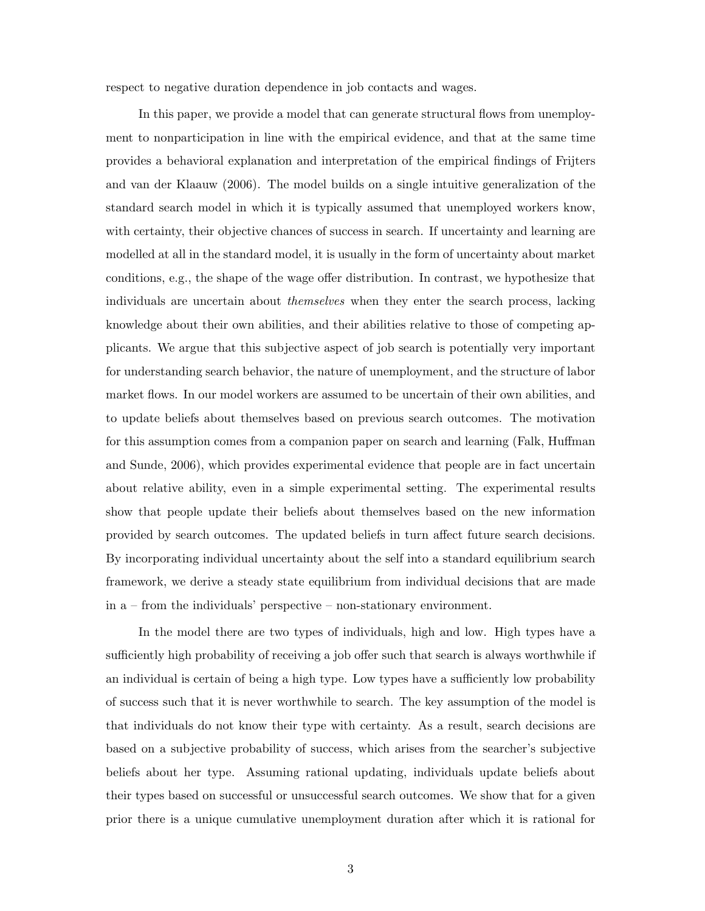respect to negative duration dependence in job contacts and wages.

In this paper, we provide a model that can generate structural flows from unemployment to nonparticipation in line with the empirical evidence, and that at the same time provides a behavioral explanation and interpretation of the empirical findings of Frijters and van der Klaauw (2006). The model builds on a single intuitive generalization of the standard search model in which it is typically assumed that unemployed workers know, with certainty, their objective chances of success in search. If uncertainty and learning are modelled at all in the standard model, it is usually in the form of uncertainty about market conditions, e.g., the shape of the wage offer distribution. In contrast, we hypothesize that individuals are uncertain about themselves when they enter the search process, lacking knowledge about their own abilities, and their abilities relative to those of competing applicants. We argue that this subjective aspect of job search is potentially very important for understanding search behavior, the nature of unemployment, and the structure of labor market flows. In our model workers are assumed to be uncertain of their own abilities, and to update beliefs about themselves based on previous search outcomes. The motivation for this assumption comes from a companion paper on search and learning (Falk, Huffman and Sunde, 2006), which provides experimental evidence that people are in fact uncertain about relative ability, even in a simple experimental setting. The experimental results show that people update their beliefs about themselves based on the new information provided by search outcomes. The updated beliefs in turn affect future search decisions. By incorporating individual uncertainty about the self into a standard equilibrium search framework, we derive a steady state equilibrium from individual decisions that are made in a – from the individuals' perspective – non-stationary environment.

In the model there are two types of individuals, high and low. High types have a sufficiently high probability of receiving a job offer such that search is always worthwhile if an individual is certain of being a high type. Low types have a sufficiently low probability of success such that it is never worthwhile to search. The key assumption of the model is that individuals do not know their type with certainty. As a result, search decisions are based on a subjective probability of success, which arises from the searcher's subjective beliefs about her type. Assuming rational updating, individuals update beliefs about their types based on successful or unsuccessful search outcomes. We show that for a given prior there is a unique cumulative unemployment duration after which it is rational for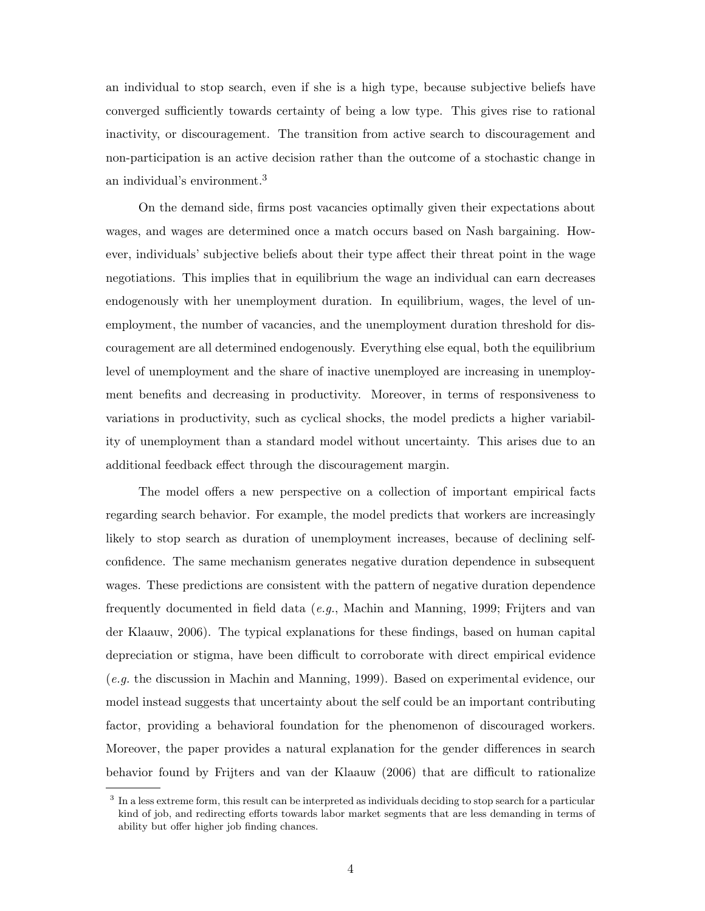an individual to stop search, even if she is a high type, because subjective beliefs have converged sufficiently towards certainty of being a low type. This gives rise to rational inactivity, or discouragement. The transition from active search to discouragement and non-participation is an active decision rather than the outcome of a stochastic change in an individual's environment.<sup>3</sup>

On the demand side, firms post vacancies optimally given their expectations about wages, and wages are determined once a match occurs based on Nash bargaining. However, individuals' subjective beliefs about their type affect their threat point in the wage negotiations. This implies that in equilibrium the wage an individual can earn decreases endogenously with her unemployment duration. In equilibrium, wages, the level of unemployment, the number of vacancies, and the unemployment duration threshold for discouragement are all determined endogenously. Everything else equal, both the equilibrium level of unemployment and the share of inactive unemployed are increasing in unemployment benefits and decreasing in productivity. Moreover, in terms of responsiveness to variations in productivity, such as cyclical shocks, the model predicts a higher variability of unemployment than a standard model without uncertainty. This arises due to an additional feedback effect through the discouragement margin.

The model offers a new perspective on a collection of important empirical facts regarding search behavior. For example, the model predicts that workers are increasingly likely to stop search as duration of unemployment increases, because of declining selfconfidence. The same mechanism generates negative duration dependence in subsequent wages. These predictions are consistent with the pattern of negative duration dependence frequently documented in field data (e.g., Machin and Manning, 1999; Frijters and van der Klaauw, 2006). The typical explanations for these findings, based on human capital depreciation or stigma, have been difficult to corroborate with direct empirical evidence (e.g. the discussion in Machin and Manning, 1999). Based on experimental evidence, our model instead suggests that uncertainty about the self could be an important contributing factor, providing a behavioral foundation for the phenomenon of discouraged workers. Moreover, the paper provides a natural explanation for the gender differences in search behavior found by Frijters and van der Klaauw (2006) that are difficult to rationalize

<sup>&</sup>lt;sup>3</sup> In a less extreme form, this result can be interpreted as individuals deciding to stop search for a particular kind of job, and redirecting efforts towards labor market segments that are less demanding in terms of ability but offer higher job finding chances.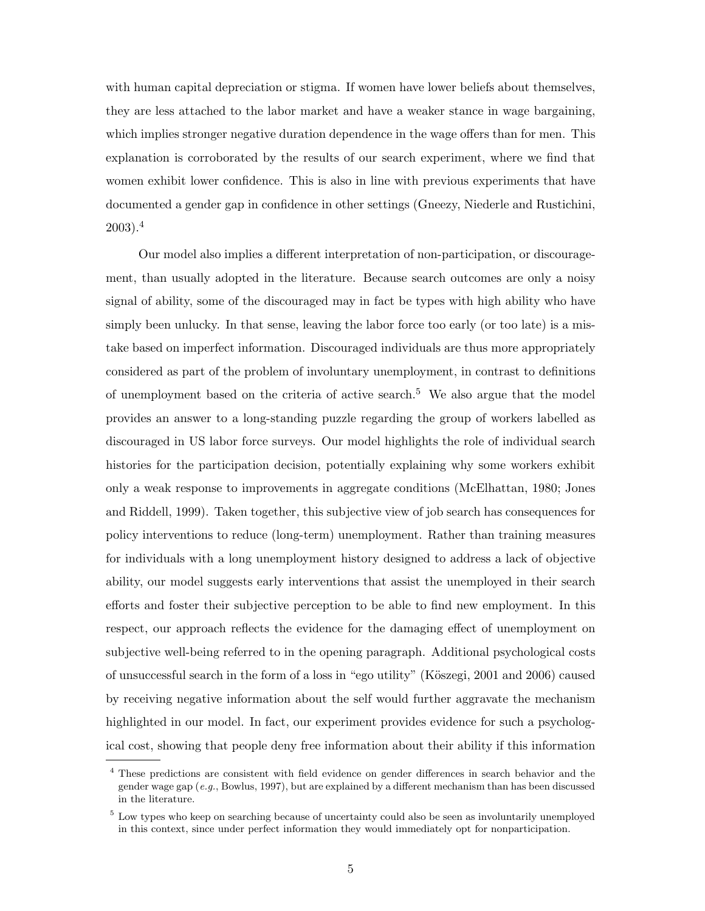with human capital depreciation or stigma. If women have lower beliefs about themselves, they are less attached to the labor market and have a weaker stance in wage bargaining, which implies stronger negative duration dependence in the wage offers than for men. This explanation is corroborated by the results of our search experiment, where we find that women exhibit lower confidence. This is also in line with previous experiments that have documented a gender gap in confidence in other settings (Gneezy, Niederle and Rustichini, 2003).<sup>4</sup>

Our model also implies a different interpretation of non-participation, or discouragement, than usually adopted in the literature. Because search outcomes are only a noisy signal of ability, some of the discouraged may in fact be types with high ability who have simply been unlucky. In that sense, leaving the labor force too early (or too late) is a mistake based on imperfect information. Discouraged individuals are thus more appropriately considered as part of the problem of involuntary unemployment, in contrast to definitions of unemployment based on the criteria of active search.<sup>5</sup> We also argue that the model provides an answer to a long-standing puzzle regarding the group of workers labelled as discouraged in US labor force surveys. Our model highlights the role of individual search histories for the participation decision, potentially explaining why some workers exhibit only a weak response to improvements in aggregate conditions (McElhattan, 1980; Jones and Riddell, 1999). Taken together, this subjective view of job search has consequences for policy interventions to reduce (long-term) unemployment. Rather than training measures for individuals with a long unemployment history designed to address a lack of objective ability, our model suggests early interventions that assist the unemployed in their search efforts and foster their subjective perception to be able to find new employment. In this respect, our approach reflects the evidence for the damaging effect of unemployment on subjective well-being referred to in the opening paragraph. Additional psychological costs of unsuccessful search in the form of a loss in "ego utility" (Köszegi, 2001 and 2006) caused by receiving negative information about the self would further aggravate the mechanism highlighted in our model. In fact, our experiment provides evidence for such a psychological cost, showing that people deny free information about their ability if this information

<sup>4</sup> These predictions are consistent with field evidence on gender differences in search behavior and the gender wage gap  $(e.g.,$  Bowlus, 1997), but are explained by a different mechanism than has been discussed in the literature.

<sup>5</sup> Low types who keep on searching because of uncertainty could also be seen as involuntarily unemployed in this context, since under perfect information they would immediately opt for nonparticipation.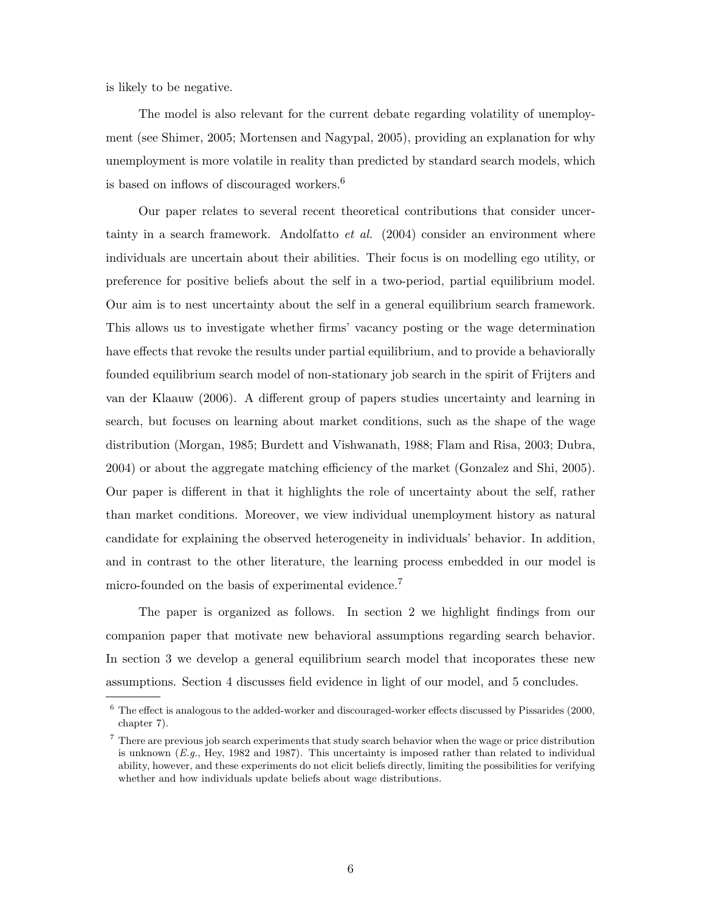is likely to be negative.

The model is also relevant for the current debate regarding volatility of unemployment (see Shimer, 2005; Mortensen and Nagypal, 2005), providing an explanation for why unemployment is more volatile in reality than predicted by standard search models, which is based on inflows of discouraged workers.<sup>6</sup>

Our paper relates to several recent theoretical contributions that consider uncertainty in a search framework. Andolfatto *et al.* (2004) consider an environment where individuals are uncertain about their abilities. Their focus is on modelling ego utility, or preference for positive beliefs about the self in a two-period, partial equilibrium model. Our aim is to nest uncertainty about the self in a general equilibrium search framework. This allows us to investigate whether firms' vacancy posting or the wage determination have effects that revoke the results under partial equilibrium, and to provide a behaviorally founded equilibrium search model of non-stationary job search in the spirit of Frijters and van der Klaauw (2006). A different group of papers studies uncertainty and learning in search, but focuses on learning about market conditions, such as the shape of the wage distribution (Morgan, 1985; Burdett and Vishwanath, 1988; Flam and Risa, 2003; Dubra, 2004) or about the aggregate matching efficiency of the market (Gonzalez and Shi, 2005). Our paper is different in that it highlights the role of uncertainty about the self, rather than market conditions. Moreover, we view individual unemployment history as natural candidate for explaining the observed heterogeneity in individuals' behavior. In addition, and in contrast to the other literature, the learning process embedded in our model is micro-founded on the basis of experimental evidence.<sup>7</sup>

The paper is organized as follows. In section 2 we highlight findings from our companion paper that motivate new behavioral assumptions regarding search behavior. In section 3 we develop a general equilibrium search model that incoporates these new assumptions. Section 4 discusses field evidence in light of our model, and 5 concludes.

 $^6$  The effect is analogous to the added-worker and discouraged-worker effects discussed by Pissarides (2000, chapter 7).

<sup>7</sup> There are previous job search experiments that study search behavior when the wage or price distribution is unknown  $(E.g., Hey, 1982 and 1987)$ . This uncertainty is imposed rather than related to individual ability, however, and these experiments do not elicit beliefs directly, limiting the possibilities for verifying whether and how individuals update beliefs about wage distributions.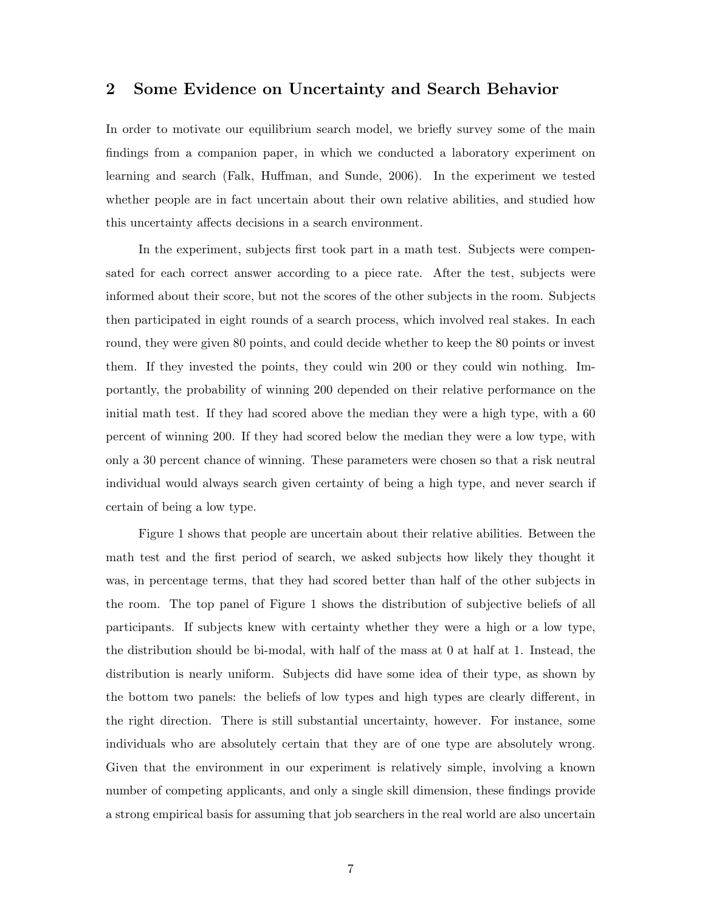### 2 Some Evidence on Uncertainty and Search Behavior

In order to motivate our equilibrium search model, we briefly survey some of the main findings from a companion paper, in which we conducted a laboratory experiment on learning and search (Falk, Huffman, and Sunde, 2006). In the experiment we tested whether people are in fact uncertain about their own relative abilities, and studied how this uncertainty affects decisions in a search environment.

In the experiment, subjects first took part in a math test. Subjects were compensated for each correct answer according to a piece rate. After the test, subjects were informed about their score, but not the scores of the other subjects in the room. Subjects then participated in eight rounds of a search process, which involved real stakes. In each round, they were given 80 points, and could decide whether to keep the 80 points or invest them. If they invested the points, they could win 200 or they could win nothing. Importantly, the probability of winning 200 depended on their relative performance on the initial math test. If they had scored above the median they were a high type, with a 60 percent of winning 200. If they had scored below the median they were a low type, with only a 30 percent chance of winning. These parameters were chosen so that a risk neutral individual would always search given certainty of being a high type, and never search if certain of being a low type.

Figure 1 shows that people are uncertain about their relative abilities. Between the math test and the first period of search, we asked subjects how likely they thought it was, in percentage terms, that they had scored better than half of the other subjects in the room. The top panel of Figure 1 shows the distribution of subjective beliefs of all participants. If subjects knew with certainty whether they were a high or a low type, the distribution should be bi-modal, with half of the mass at 0 at half at 1. Instead, the distribution is nearly uniform. Subjects did have some idea of their type, as shown by the bottom two panels: the beliefs of low types and high types are clearly different, in the right direction. There is still substantial uncertainty, however. For instance, some individuals who are absolutely certain that they are of one type are absolutely wrong. Given that the environment in our experiment is relatively simple, involving a known number of competing applicants, and only a single skill dimension, these findings provide a strong empirical basis for assuming that job searchers in the real world are also uncertain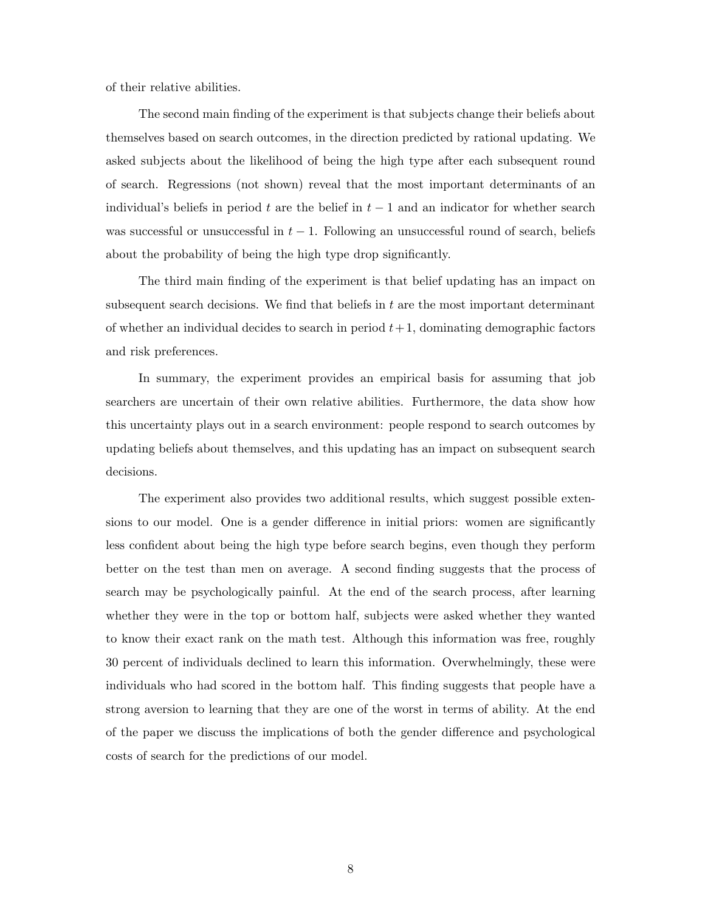of their relative abilities.

The second main finding of the experiment is that subjects change their beliefs about themselves based on search outcomes, in the direction predicted by rational updating. We asked subjects about the likelihood of being the high type after each subsequent round of search. Regressions (not shown) reveal that the most important determinants of an individual's beliefs in period t are the belief in  $t-1$  and an indicator for whether search was successful or unsuccessful in  $t - 1$ . Following an unsuccessful round of search, beliefs about the probability of being the high type drop significantly.

The third main finding of the experiment is that belief updating has an impact on subsequent search decisions. We find that beliefs in  $t$  are the most important determinant of whether an individual decides to search in period  $t+1$ , dominating demographic factors and risk preferences.

In summary, the experiment provides an empirical basis for assuming that job searchers are uncertain of their own relative abilities. Furthermore, the data show how this uncertainty plays out in a search environment: people respond to search outcomes by updating beliefs about themselves, and this updating has an impact on subsequent search decisions.

The experiment also provides two additional results, which suggest possible extensions to our model. One is a gender difference in initial priors: women are significantly less confident about being the high type before search begins, even though they perform better on the test than men on average. A second finding suggests that the process of search may be psychologically painful. At the end of the search process, after learning whether they were in the top or bottom half, subjects were asked whether they wanted to know their exact rank on the math test. Although this information was free, roughly 30 percent of individuals declined to learn this information. Overwhelmingly, these were individuals who had scored in the bottom half. This finding suggests that people have a strong aversion to learning that they are one of the worst in terms of ability. At the end of the paper we discuss the implications of both the gender difference and psychological costs of search for the predictions of our model.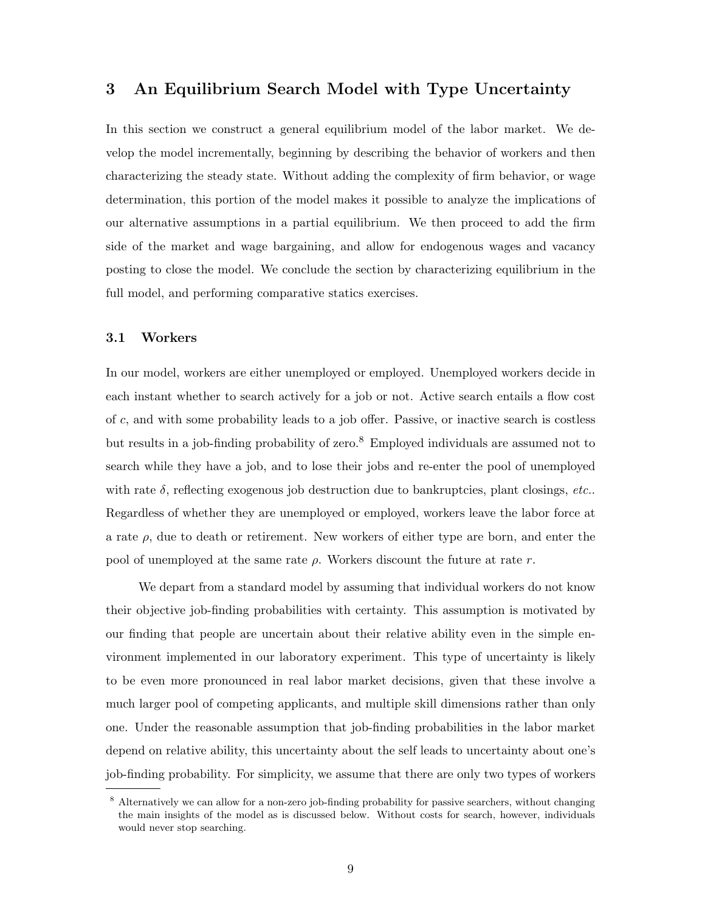## 3 An Equilibrium Search Model with Type Uncertainty

In this section we construct a general equilibrium model of the labor market. We develop the model incrementally, beginning by describing the behavior of workers and then characterizing the steady state. Without adding the complexity of firm behavior, or wage determination, this portion of the model makes it possible to analyze the implications of our alternative assumptions in a partial equilibrium. We then proceed to add the firm side of the market and wage bargaining, and allow for endogenous wages and vacancy posting to close the model. We conclude the section by characterizing equilibrium in the full model, and performing comparative statics exercises.

### 3.1 Workers

In our model, workers are either unemployed or employed. Unemployed workers decide in each instant whether to search actively for a job or not. Active search entails a flow cost of c, and with some probability leads to a job offer. Passive, or inactive search is costless but results in a job-finding probability of zero.<sup>8</sup> Employed individuals are assumed not to search while they have a job, and to lose their jobs and re-enter the pool of unemployed with rate  $\delta$ , reflecting exogenous job destruction due to bankruptcies, plant closings, etc... Regardless of whether they are unemployed or employed, workers leave the labor force at a rate  $\rho$ , due to death or retirement. New workers of either type are born, and enter the pool of unemployed at the same rate  $\rho$ . Workers discount the future at rate r.

We depart from a standard model by assuming that individual workers do not know their objective job-finding probabilities with certainty. This assumption is motivated by our finding that people are uncertain about their relative ability even in the simple environment implemented in our laboratory experiment. This type of uncertainty is likely to be even more pronounced in real labor market decisions, given that these involve a much larger pool of competing applicants, and multiple skill dimensions rather than only one. Under the reasonable assumption that job-finding probabilities in the labor market depend on relative ability, this uncertainty about the self leads to uncertainty about one's job-finding probability. For simplicity, we assume that there are only two types of workers

<sup>&</sup>lt;sup>8</sup> Alternatively we can allow for a non-zero job-finding probability for passive searchers, without changing the main insights of the model as is discussed below. Without costs for search, however, individuals would never stop searching.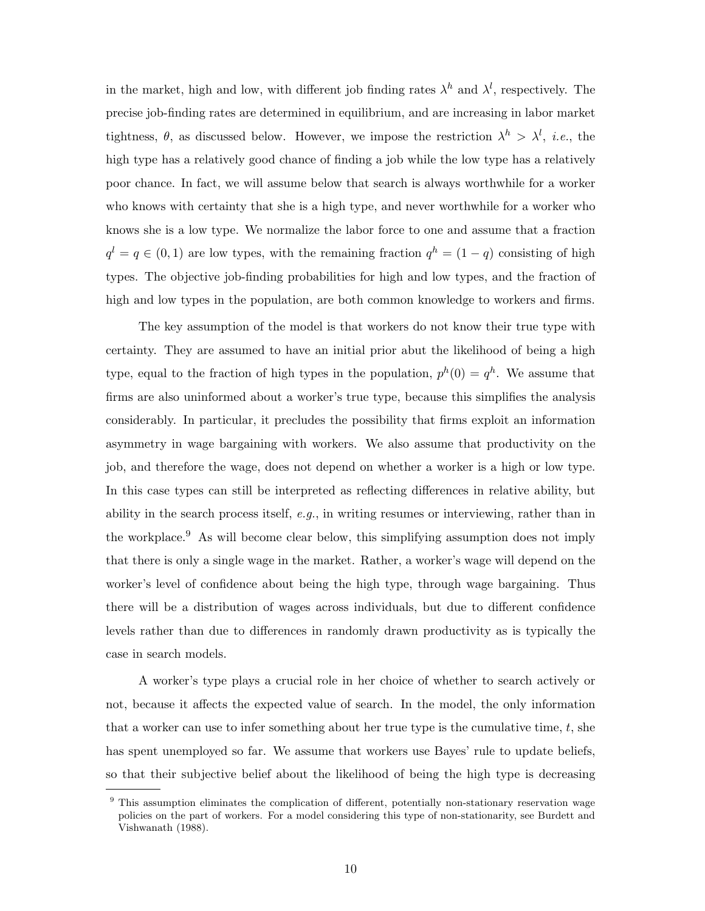in the market, high and low, with different job finding rates  $\lambda^h$  and  $\lambda^l$ , respectively. The precise job-finding rates are determined in equilibrium, and are increasing in labor market tightness,  $\theta$ , as discussed below. However, we impose the restriction  $\lambda^h > \lambda^l$ , *i.e.*, the high type has a relatively good chance of finding a job while the low type has a relatively poor chance. In fact, we will assume below that search is always worthwhile for a worker who knows with certainty that she is a high type, and never worthwhile for a worker who knows she is a low type. We normalize the labor force to one and assume that a fraction  $q^{l} = q \in (0,1)$  are low types, with the remaining fraction  $q^{h} = (1-q)$  consisting of high types. The objective job-finding probabilities for high and low types, and the fraction of high and low types in the population, are both common knowledge to workers and firms.

The key assumption of the model is that workers do not know their true type with certainty. They are assumed to have an initial prior abut the likelihood of being a high type, equal to the fraction of high types in the population,  $p^{h}(0) = q^{h}$ . We assume that firms are also uninformed about a worker's true type, because this simplifies the analysis considerably. In particular, it precludes the possibility that firms exploit an information asymmetry in wage bargaining with workers. We also assume that productivity on the job, and therefore the wage, does not depend on whether a worker is a high or low type. In this case types can still be interpreted as reflecting differences in relative ability, but ability in the search process itself,  $e.g.,$  in writing resumes or interviewing, rather than in the workplace.<sup>9</sup> As will become clear below, this simplifying assumption does not imply that there is only a single wage in the market. Rather, a worker's wage will depend on the worker's level of confidence about being the high type, through wage bargaining. Thus there will be a distribution of wages across individuals, but due to different confidence levels rather than due to differences in randomly drawn productivity as is typically the case in search models.

A worker's type plays a crucial role in her choice of whether to search actively or not, because it affects the expected value of search. In the model, the only information that a worker can use to infer something about her true type is the cumulative time,  $t$ , she has spent unemployed so far. We assume that workers use Bayes' rule to update beliefs, so that their subjective belief about the likelihood of being the high type is decreasing

This assumption eliminates the complication of different, potentially non-stationary reservation wage policies on the part of workers. For a model considering this type of non-stationarity, see Burdett and Vishwanath (1988).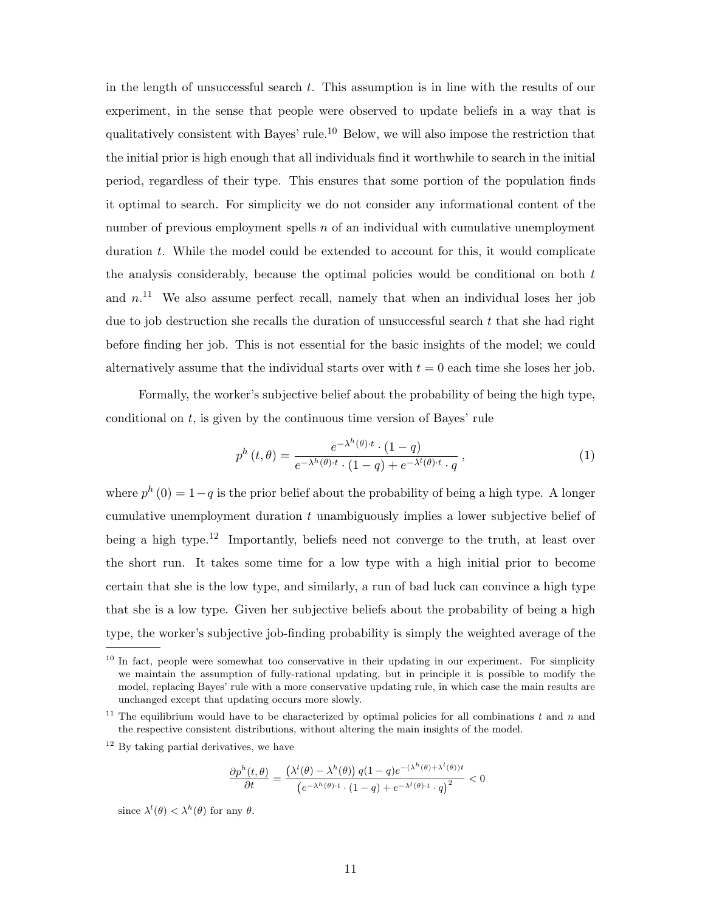in the length of unsuccessful search t. This assumption is in line with the results of our experiment, in the sense that people were observed to update beliefs in a way that is qualitatively consistent with Bayes' rule.<sup>10</sup> Below, we will also impose the restriction that the initial prior is high enough that all individuals find it worthwhile to search in the initial period, regardless of their type. This ensures that some portion of the population finds it optimal to search. For simplicity we do not consider any informational content of the number of previous employment spells  $n$  of an individual with cumulative unemployment duration t. While the model could be extended to account for this, it would complicate the analysis considerably, because the optimal policies would be conditional on both  $t$ and  $n<sup>11</sup>$  We also assume perfect recall, namely that when an individual loses her job due to job destruction she recalls the duration of unsuccessful search  $t$  that she had right before finding her job. This is not essential for the basic insights of the model; we could alternatively assume that the individual starts over with  $t = 0$  each time she loses her job.

Formally, the worker's subjective belief about the probability of being the high type, conditional on t, is given by the continuous time version of Bayes' rule

$$
p^{h}\left(t,\theta\right) = \frac{e^{-\lambda^{h}\left(\theta\right)\cdot t} \cdot (1-q)}{e^{-\lambda^{h}\left(\theta\right)\cdot t} \cdot (1-q) + e^{-\lambda^{l}\left(\theta\right)\cdot t} \cdot q},\tag{1}
$$

where  $p^{h}(0) = 1-q$  is the prior belief about the probability of being a high type. A longer cumulative unemployment duration t unambiguously implies a lower subjective belief of being a high type.<sup>12</sup> Importantly, beliefs need not converge to the truth, at least over the short run. It takes some time for a low type with a high initial prior to become certain that she is the low type, and similarly, a run of bad luck can convince a high type that she is a low type. Given her subjective beliefs about the probability of being a high type, the worker's subjective job-finding probability is simply the weighted average of the

$$
\frac{\partial p^h(t,\theta)}{\partial t} = \frac{\left(\lambda^l(\theta) - \lambda^h(\theta)\right)q(1-q)e^{-(\lambda^h(\theta) + \lambda^l(\theta))t}}{\left(e^{-\lambda^h(\theta) \cdot t} \cdot (1-q) + e^{-\lambda^l(\theta) \cdot t} \cdot q\right)^2} < 0
$$

since  $\lambda^l(\theta) < \lambda^h(\theta)$  for any  $\theta$ .

 $10$  In fact, people were somewhat too conservative in their updating in our experiment. For simplicity we maintain the assumption of fully-rational updating, but in principle it is possible to modify the model, replacing Bayes' rule with a more conservative updating rule, in which case the main results are unchanged except that updating occurs more slowly.

<sup>&</sup>lt;sup>11</sup> The equilibrium would have to be characterized by optimal policies for all combinations t and n and the respective consistent distributions, without altering the main insights of the model.

<sup>&</sup>lt;sup>12</sup> By taking partial derivatives, we have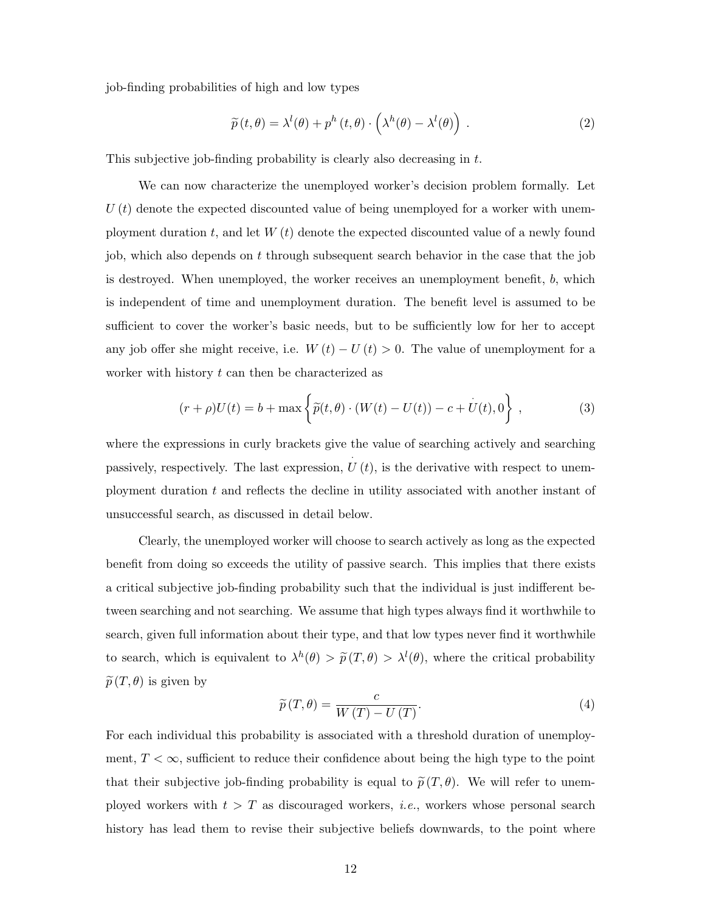job-finding probabilities of high and low types

$$
\widetilde{p}(t,\theta) = \lambda^{l}(\theta) + p^{h}(t,\theta) \cdot \left(\lambda^{h}(\theta) - \lambda^{l}(\theta)\right).
$$
\n(2)

This subjective job-finding probability is clearly also decreasing in t.

We can now characterize the unemployed worker's decision problem formally. Let  $U(t)$  denote the expected discounted value of being unemployed for a worker with unemployment duration t, and let  $W(t)$  denote the expected discounted value of a newly found job, which also depends on t through subsequent search behavior in the case that the job is destroyed. When unemployed, the worker receives an unemployment benefit, b, which is independent of time and unemployment duration. The benefit level is assumed to be sufficient to cover the worker's basic needs, but to be sufficiently low for her to accept any job offer she might receive, i.e.  $W(t) - U(t) > 0$ . The value of unemployment for a worker with history  $t$  can then be characterized as

$$
(r+\rho)U(t) = b + \max \left\{ \tilde{p}(t,\theta) \cdot (W(t) - U(t)) - c + U(t), 0 \right\},
$$
 (3)

where the expressions in curly brackets give the value of searching actively and searching passively, respectively. The last expression,  $\hat{U}(t)$ , is the derivative with respect to unemployment duration  $t$  and reflects the decline in utility associated with another instant of unsuccessful search, as discussed in detail below.

Clearly, the unemployed worker will choose to search actively as long as the expected benefit from doing so exceeds the utility of passive search. This implies that there exists a critical subjective job-finding probability such that the individual is just indifferent between searching and not searching. We assume that high types always find it worthwhile to search, given full information about their type, and that low types never find it worthwhile to search, which is equivalent to  $\lambda^h(\theta) > \tilde{p}(T,\theta) > \lambda^l(\theta)$ , where the critical probability  $\widetilde{p}(T, \theta)$  is given by

$$
\widetilde{p}(T,\theta) = \frac{c}{W(T) - U(T)}.\tag{4}
$$

For each individual this probability is associated with a threshold duration of unemployment,  $T < \infty$ , sufficient to reduce their confidence about being the high type to the point that their subjective job-finding probability is equal to  $\tilde{p}(T, \theta)$ . We will refer to unemployed workers with  $t > T$  as discouraged workers, *i.e.*, workers whose personal search history has lead them to revise their subjective beliefs downwards, to the point where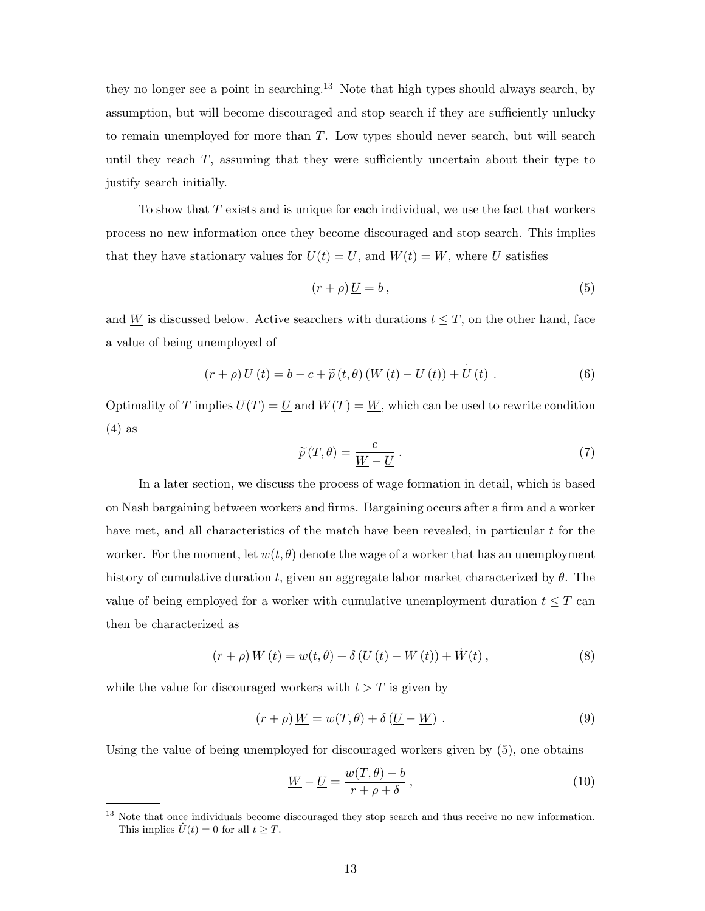they no longer see a point in searching.<sup>13</sup> Note that high types should always search, by assumption, but will become discouraged and stop search if they are sufficiently unlucky to remain unemployed for more than  $T$ . Low types should never search, but will search until they reach  $T$ , assuming that they were sufficiently uncertain about their type to justify search initially.

To show that  $T$  exists and is unique for each individual, we use the fact that workers process no new information once they become discouraged and stop search. This implies that they have stationary values for  $U(t) = U$ , and  $W(t) = W$ , where U satisfies

$$
(r+\rho)\underline{U}=b\,,\tag{5}
$$

and W is discussed below. Active searchers with durations  $t \leq T$ , on the other hand, face a value of being unemployed of

$$
(r + \rho) U(t) = b - c + \widetilde{p}(t, \theta) (W(t) - U(t)) + U(t) .
$$
 (6)

Optimality of T implies  $U(T) = U$  and  $W(T) = W$ , which can be used to rewrite condition (4) as

$$
\widetilde{p}(T,\theta) = \frac{c}{\underline{W} - \underline{U}}.
$$
\n(7)

In a later section, we discuss the process of wage formation in detail, which is based on Nash bargaining between workers and firms. Bargaining occurs after a firm and a worker have met, and all characteristics of the match have been revealed, in particular  $t$  for the worker. For the moment, let  $w(t, \theta)$  denote the wage of a worker that has an unemployment history of cumulative duration t, given an aggregate labor market characterized by  $\theta$ . The value of being employed for a worker with cumulative unemployment duration  $t \leq T$  can then be characterized as

$$
(r + \rho) W(t) = w(t, \theta) + \delta (U(t) - W(t)) + \dot{W}(t) ,
$$
\n(8)

while the value for discouraged workers with  $t > T$  is given by

$$
(r+\rho)\underline{W} = w(T,\theta) + \delta(\underline{U} - \underline{W}) . \tag{9}
$$

Using the value of being unemployed for discouraged workers given by (5), one obtains

$$
\underline{W} - \underline{U} = \frac{w(T, \theta) - b}{r + \rho + \delta},\tag{10}
$$

<sup>&</sup>lt;sup>13</sup> Note that once individuals become discouraged they stop search and thus receive no new information. This implies  $\dot{U}(t) = 0$  for all  $t > T$ .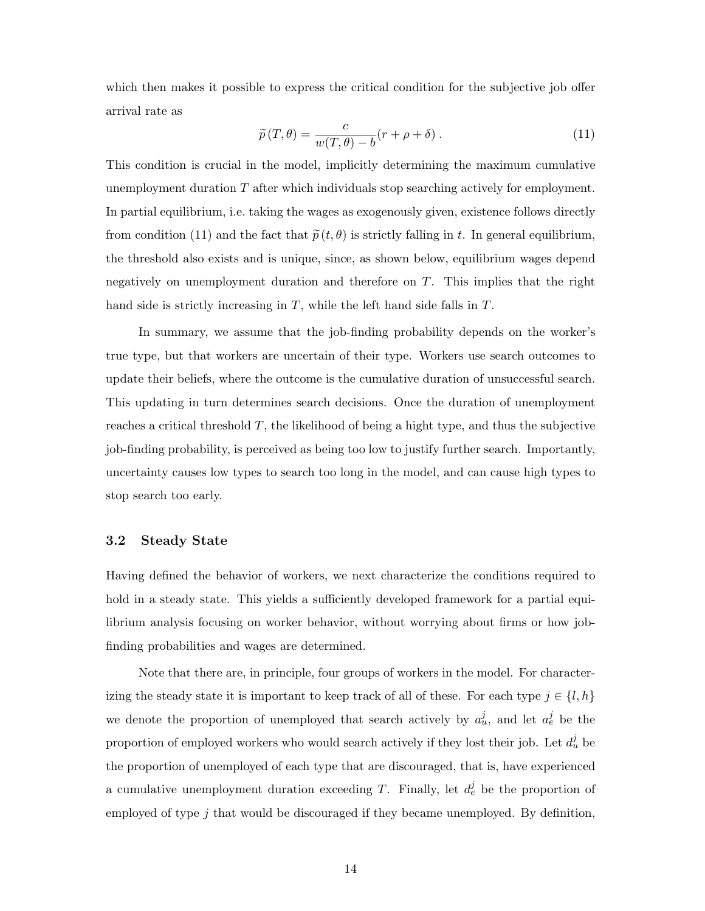which then makes it possible to express the critical condition for the subjective job offer arrival rate as

$$
\widetilde{p}(T,\theta) = \frac{c}{w(T,\theta) - b}(r + \rho + \delta). \tag{11}
$$

This condition is crucial in the model, implicitly determining the maximum cumulative unemployment duration T after which individuals stop searching actively for employment. In partial equilibrium, i.e. taking the wages as exogenously given, existence follows directly from condition (11) and the fact that  $\tilde{p}(t, \theta)$  is strictly falling in t. In general equilibrium, the threshold also exists and is unique, since, as shown below, equilibrium wages depend negatively on unemployment duration and therefore on T. This implies that the right hand side is strictly increasing in T, while the left hand side falls in T.

In summary, we assume that the job-finding probability depends on the worker's true type, but that workers are uncertain of their type. Workers use search outcomes to update their beliefs, where the outcome is the cumulative duration of unsuccessful search. This updating in turn determines search decisions. Once the duration of unemployment reaches a critical threshold T, the likelihood of being a hight type, and thus the subjective job-finding probability, is perceived as being too low to justify further search. Importantly, uncertainty causes low types to search too long in the model, and can cause high types to stop search too early.

### 3.2 Steady State

Having defined the behavior of workers, we next characterize the conditions required to hold in a steady state. This yields a sufficiently developed framework for a partial equilibrium analysis focusing on worker behavior, without worrying about firms or how jobfinding probabilities and wages are determined.

Note that there are, in principle, four groups of workers in the model. For characterizing the steady state it is important to keep track of all of these. For each type  $j \in \{l, h\}$ we denote the proportion of unemployed that search actively by  $a_u^j$ , and let  $a_e^j$  be the proportion of employed workers who would search actively if they lost their job. Let  $d_u^j$  be the proportion of unemployed of each type that are discouraged, that is, have experienced a cumulative unemployment duration exceeding T. Finally, let  $d_e^j$  be the proportion of employed of type j that would be discouraged if they became unemployed. By definition,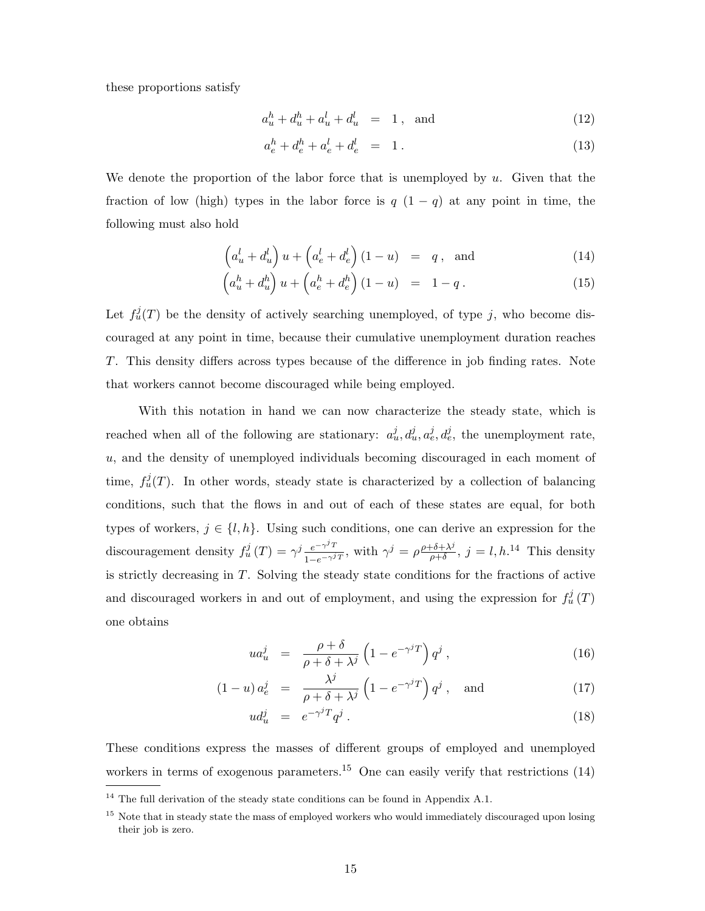these proportions satisfy

$$
a_u^h + d_u^h + a_u^l + d_u^l = 1, \text{ and} \t\t(12)
$$

$$
a_e^h + d_e^h + a_e^l + d_e^l = 1.
$$
 (13)

We denote the proportion of the labor force that is unemployed by  $u$ . Given that the fraction of low (high) types in the labor force is  $q(1-q)$  at any point in time, the following must also hold

$$
\left(a_u^l + d_u^l\right)u + \left(a_e^l + d_e^l\right)(1 - u) = q, \text{ and } (14)
$$

$$
\left(a_u^h + d_u^h\right)u + \left(a_e^h + d_e^h\right)(1-u) = 1-q.
$$
\n<sup>(15)</sup>

Let  $f^j_u(T)$  be the density of actively searching unemployed, of type j, who become discouraged at any point in time, because their cumulative unemployment duration reaches T. This density differs across types because of the difference in job finding rates. Note that workers cannot become discouraged while being employed.

With this notation in hand we can now characterize the steady state, which is reached when all of the following are stationary:  $a_u^j, d_u^j, a_e^j, d_e^j$ , the unemployment rate, u, and the density of unemployed individuals becoming discouraged in each moment of time,  $f^j_u(T)$ . In other words, steady state is characterized by a collection of balancing conditions, such that the flows in and out of each of these states are equal, for both types of workers,  $j \in \{l, h\}$ . Using such conditions, one can derive an expression for the discouragement density  $f^j_u(T) = \gamma^j \frac{e^{-\gamma^j T}}{1 - \gamma^j}$  $\frac{e^{-\gamma^j T}}{1-e^{-\gamma^j T}}$ , with  $\gamma^j = \rho \frac{\rho + \delta + \lambda^j}{\rho + \delta}$  $\frac{\partial^2 \phi + \lambda^j}{\partial \phi^j}$ ,  $j = l, h$ .<sup>14</sup> This density is strictly decreasing in T. Solving the steady state conditions for the fractions of active and discouraged workers in and out of employment, and using the expression for  $f_u^j(T)$ one obtains

$$
ua_u^j = \frac{\rho + \delta}{\rho + \delta + \lambda^j} \left( 1 - e^{-\gamma^j T} \right) q^j , \qquad (16)
$$

$$
(1 - u) a_e^j = \frac{\lambda^j}{\rho + \delta + \lambda^j} \left( 1 - e^{-\gamma^j T} \right) q^j, \text{ and } (17)
$$

$$
ud_u^j = e^{-\gamma^j T} q^j \,. \tag{18}
$$

These conditions express the masses of different groups of employed and unemployed workers in terms of exogenous parameters.<sup>15</sup> One can easily verify that restrictions  $(14)$ 

 $14$  The full derivation of the steady state conditions can be found in Appendix A.1.

<sup>&</sup>lt;sup>15</sup> Note that in steady state the mass of employed workers who would immediately discouraged upon losing their job is zero.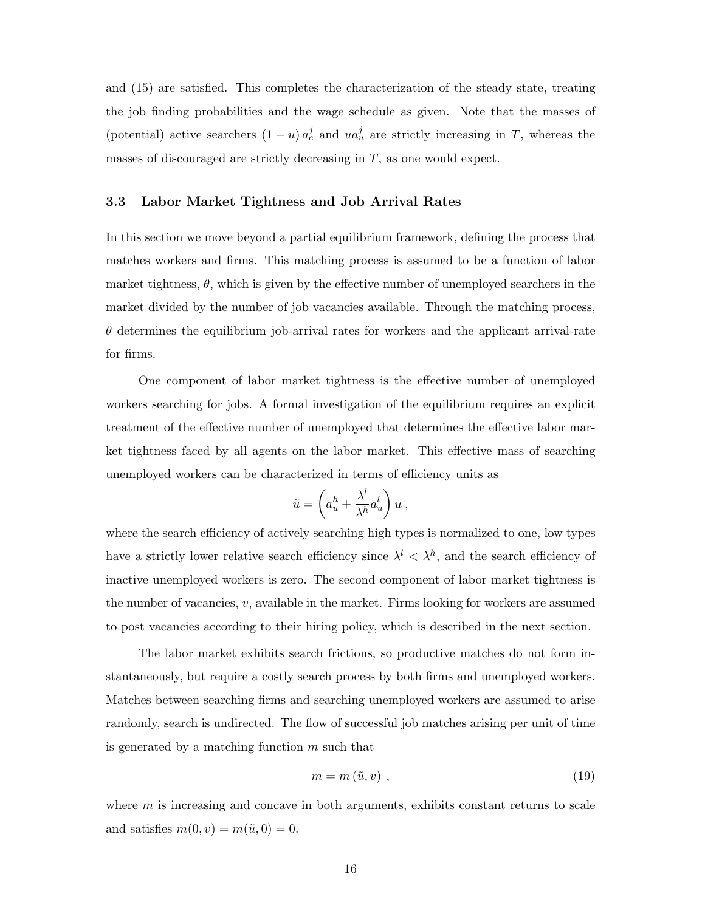and (15) are satisfied. This completes the characterization of the steady state, treating the job finding probabilities and the wage schedule as given. Note that the masses of (potential) active searchers  $(1 - u) a_e^j$  and  $u a_u^j$  are strictly increasing in T, whereas the masses of discouraged are strictly decreasing in  $T$ , as one would expect.

### 3.3 Labor Market Tightness and Job Arrival Rates

In this section we move beyond a partial equilibrium framework, defining the process that matches workers and firms. This matching process is assumed to be a function of labor market tightness,  $\theta$ , which is given by the effective number of unemployed searchers in the market divided by the number of job vacancies available. Through the matching process,  $\theta$  determines the equilibrium job-arrival rates for workers and the applicant arrival-rate for firms.

One component of labor market tightness is the effective number of unemployed workers searching for jobs. A formal investigation of the equilibrium requires an explicit treatment of the effective number of unemployed that determines the effective labor market tightness faced by all agents on the labor market. This effective mass of searching unemployed workers can be characterized in terms of efficiency units as

$$
\tilde{u} = \left(a_u^h + \frac{\lambda^l}{\lambda^h} a_u^l\right) u \,,
$$

where the search efficiency of actively searching high types is normalized to one, low types have a strictly lower relative search efficiency since  $\lambda^{l} < \lambda^{h}$ , and the search efficiency of inactive unemployed workers is zero. The second component of labor market tightness is the number of vacancies,  $v$ , available in the market. Firms looking for workers are assumed to post vacancies according to their hiring policy, which is described in the next section.

The labor market exhibits search frictions, so productive matches do not form instantaneously, but require a costly search process by both firms and unemployed workers. Matches between searching firms and searching unemployed workers are assumed to arise randomly, search is undirected. The flow of successful job matches arising per unit of time is generated by a matching function  $m$  such that

$$
m = m\left(\tilde{u}, v\right) \,,\tag{19}
$$

where  $m$  is increasing and concave in both arguments, exhibits constant returns to scale and satisfies  $m(0, v) = m(\tilde{u}, 0) = 0$ .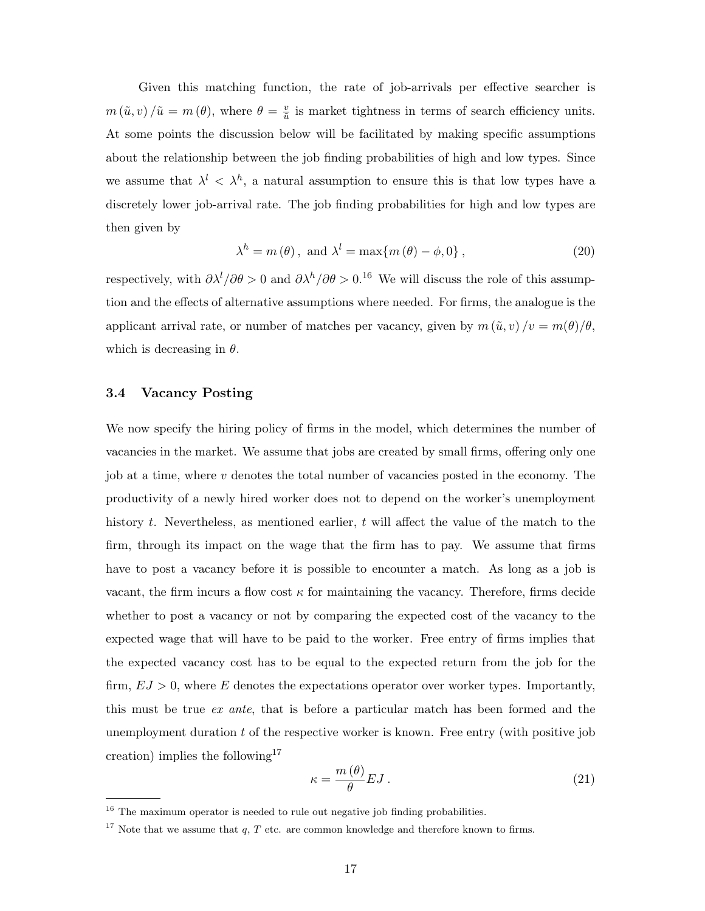Given this matching function, the rate of job-arrivals per effective searcher is  $m(\tilde{u}, v) / \tilde{u} = m(\theta)$ , where  $\theta = \frac{v}{\tilde{u}}$  $\frac{v}{\tilde{u}}$  is market tightness in terms of search efficiency units. At some points the discussion below will be facilitated by making specific assumptions about the relationship between the job finding probabilities of high and low types. Since we assume that  $\lambda^{l} < \lambda^{h}$ , a natural assumption to ensure this is that low types have a discretely lower job-arrival rate. The job finding probabilities for high and low types are then given by

$$
\lambda^{h} = m(\theta), \text{ and } \lambda^{l} = \max\{m(\theta) - \phi, 0\},\tag{20}
$$

respectively, with  $\partial \lambda^l/\partial \theta > 0$  and  $\partial \lambda^h/\partial \theta > 0$ .<sup>16</sup> We will discuss the role of this assumption and the effects of alternative assumptions where needed. For firms, the analogue is the applicant arrival rate, or number of matches per vacancy, given by  $m(\tilde{u}, v)/v = m(\theta)/\theta$ , which is decreasing in  $\theta$ .

#### 3.4 Vacancy Posting

We now specify the hiring policy of firms in the model, which determines the number of vacancies in the market. We assume that jobs are created by small firms, offering only one job at a time, where  $\nu$  denotes the total number of vacancies posted in the economy. The productivity of a newly hired worker does not to depend on the worker's unemployment history t. Nevertheless, as mentioned earlier, t will affect the value of the match to the firm, through its impact on the wage that the firm has to pay. We assume that firms have to post a vacancy before it is possible to encounter a match. As long as a job is vacant, the firm incurs a flow cost  $\kappa$  for maintaining the vacancy. Therefore, firms decide whether to post a vacancy or not by comparing the expected cost of the vacancy to the expected wage that will have to be paid to the worker. Free entry of firms implies that the expected vacancy cost has to be equal to the expected return from the job for the firm,  $EJ > 0$ , where E denotes the expectations operator over worker types. Importantly, this must be true ex ante, that is before a particular match has been formed and the unemployment duration  $t$  of the respective worker is known. Free entry (with positive job creation) implies the following<sup>17</sup>

$$
\kappa = \frac{m(\theta)}{\theta} EJ \,. \tag{21}
$$

<sup>&</sup>lt;sup>16</sup> The maximum operator is needed to rule out negative job finding probabilities.

<sup>&</sup>lt;sup>17</sup> Note that we assume that  $q$ ,  $T$  etc. are common knowledge and therefore known to firms.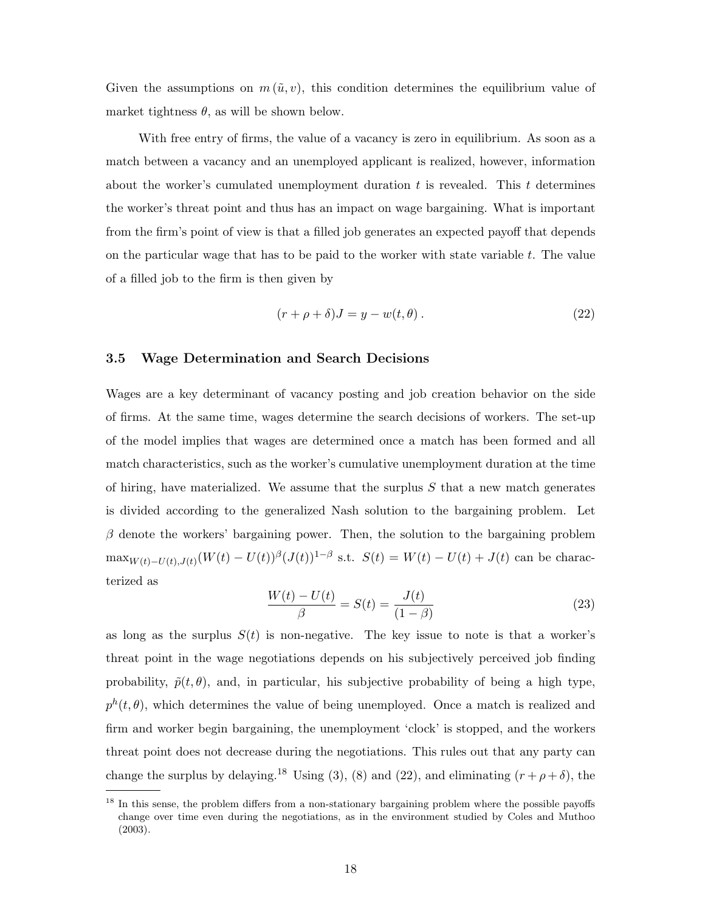Given the assumptions on  $m(\tilde{u}, v)$ , this condition determines the equilibrium value of market tightness  $\theta$ , as will be shown below.

With free entry of firms, the value of a vacancy is zero in equilibrium. As soon as a match between a vacancy and an unemployed applicant is realized, however, information about the worker's cumulated unemployment duration  $t$  is revealed. This  $t$  determines the worker's threat point and thus has an impact on wage bargaining. What is important from the firm's point of view is that a filled job generates an expected payoff that depends on the particular wage that has to be paid to the worker with state variable  $t$ . The value of a filled job to the firm is then given by

$$
(r + \rho + \delta)J = y - w(t, \theta).
$$
\n(22)

#### 3.5 Wage Determination and Search Decisions

Wages are a key determinant of vacancy posting and job creation behavior on the side of firms. At the same time, wages determine the search decisions of workers. The set-up of the model implies that wages are determined once a match has been formed and all match characteristics, such as the worker's cumulative unemployment duration at the time of hiring, have materialized. We assume that the surplus  $S$  that a new match generates is divided according to the generalized Nash solution to the bargaining problem. Let  $\beta$  denote the workers' bargaining power. Then, the solution to the bargaining problem  $\max_{W(t)-U(t),J(t)} (W(t)-U(t))$ <sup>β</sup>( $J(t)$ )<sup>1-β</sup> s.t.  $S(t) = W(t) - U(t) + J(t)$  can be characterized as

$$
\frac{W(t) - U(t)}{\beta} = S(t) = \frac{J(t)}{(1 - \beta)}
$$
\n(23)

as long as the surplus  $S(t)$  is non-negative. The key issue to note is that a worker's threat point in the wage negotiations depends on his subjectively perceived job finding probability,  $\tilde{p}(t, \theta)$ , and, in particular, his subjective probability of being a high type,  $p^{h}(t, \theta)$ , which determines the value of being unemployed. Once a match is realized and firm and worker begin bargaining, the unemployment 'clock' is stopped, and the workers threat point does not decrease during the negotiations. This rules out that any party can change the surplus by delaying.<sup>18</sup> Using (3), (8) and (22), and eliminating  $(r + \rho + \delta)$ , the

<sup>&</sup>lt;sup>18</sup> In this sense, the problem differs from a non-stationary bargaining problem where the possible payoffs change over time even during the negotiations, as in the environment studied by Coles and Muthoo (2003).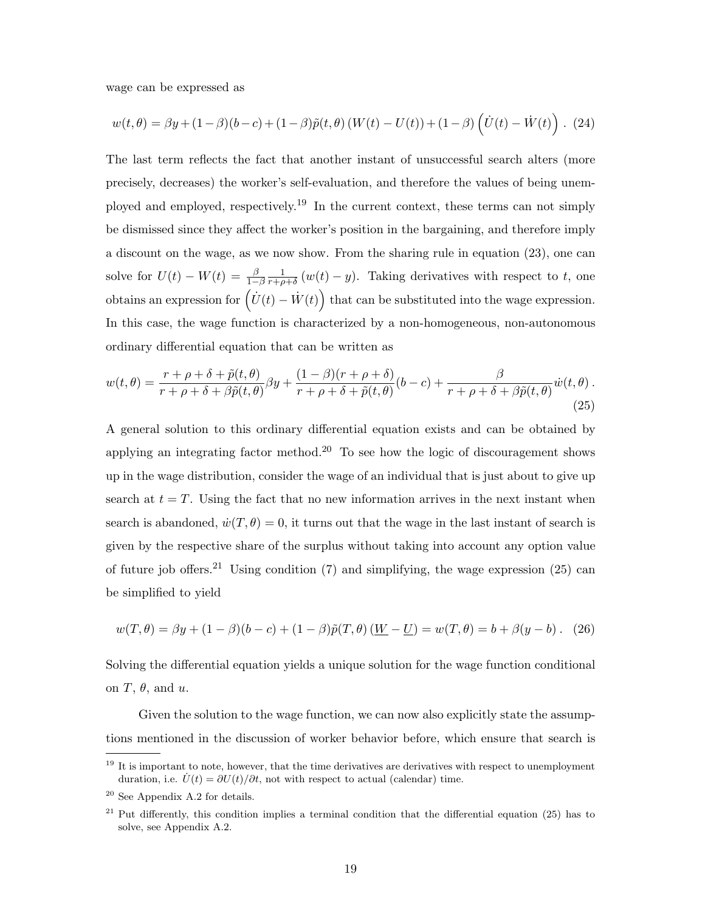wage can be expressed as

$$
w(t,\theta) = \beta y + (1-\beta)(b-c) + (1-\beta)\tilde{p}(t,\theta) (W(t) - U(t)) + (1-\beta)\left(\dot{U}(t) - \dot{W}(t)\right). (24)
$$

The last term reflects the fact that another instant of unsuccessful search alters (more precisely, decreases) the worker's self-evaluation, and therefore the values of being unemployed and employed, respectively.<sup>19</sup> In the current context, these terms can not simply be dismissed since they affect the worker's position in the bargaining, and therefore imply a discount on the wage, as we now show. From the sharing rule in equation (23), one can solve for  $U(t) - W(t) = \frac{\beta}{1-\beta}$ 1  $\frac{1}{r+\rho+\delta}(w(t)-y)$ . Taking derivatives with respect to t, one obtains an expression for  $(\dot{U}(t) - \dot{W}(t))$  that can be substituted into the wage expression. ´ In this case, the wage function is characterized by a non-homogeneous, non-autonomous ordinary differential equation that can be written as

$$
w(t,\theta) = \frac{r+\rho+\delta+\tilde{p}(t,\theta)}{r+\rho+\delta+\beta\tilde{p}(t,\theta)}\beta y + \frac{(1-\beta)(r+\rho+\delta)}{r+\rho+\delta+\tilde{p}(t,\theta)}(b-c) + \frac{\beta}{r+\rho+\delta+\beta\tilde{p}(t,\theta)}\dot{w}(t,\theta). \tag{25}
$$

A general solution to this ordinary differential equation exists and can be obtained by applying an integrating factor method.<sup>20</sup> To see how the logic of discouragement shows up in the wage distribution, consider the wage of an individual that is just about to give up search at  $t = T$ . Using the fact that no new information arrives in the next instant when search is abandoned,  $\dot{w}(T,\theta) = 0$ , it turns out that the wage in the last instant of search is given by the respective share of the surplus without taking into account any option value of future job offers.<sup>21</sup> Using condition (7) and simplifying, the wage expression (25) can be simplified to yield

$$
w(T, \theta) = \beta y + (1 - \beta)(b - c) + (1 - \beta)\tilde{p}(T, \theta)\left(\underline{W} - \underline{U}\right) = w(T, \theta) = b + \beta(y - b). \tag{26}
$$

Solving the differential equation yields a unique solution for the wage function conditional on  $T$ ,  $\theta$ , and  $u$ .

Given the solution to the wage function, we can now also explicitly state the assumptions mentioned in the discussion of worker behavior before, which ensure that search is

 $19$  It is important to note, however, that the time derivatives are derivatives with respect to unemployment duration, i.e.  $\dot{U}(t) = \partial U(t)/\partial t$ , not with respect to actual (calendar) time.

<sup>20</sup> See Appendix A.2 for details.

<sup>&</sup>lt;sup>21</sup> Put differently, this condition implies a terminal condition that the differential equation  $(25)$  has to solve, see Appendix A.2.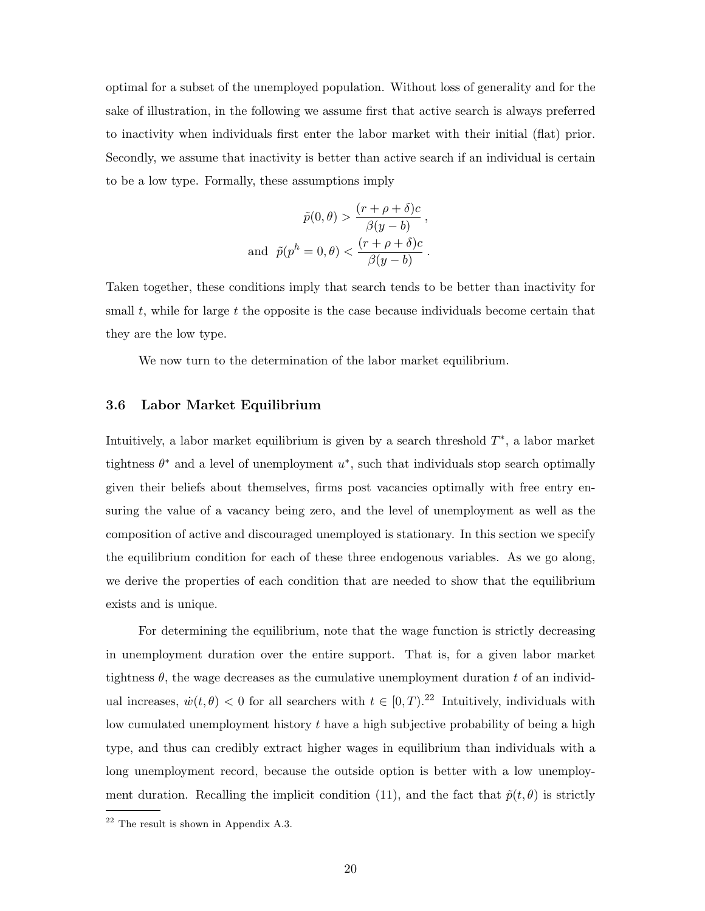optimal for a subset of the unemployed population. Without loss of generality and for the sake of illustration, in the following we assume first that active search is always preferred to inactivity when individuals first enter the labor market with their initial (flat) prior. Secondly, we assume that inactivity is better than active search if an individual is certain to be a low type. Formally, these assumptions imply

$$
\tilde{p}(0,\theta) > \frac{(r+\rho+\delta)c}{\beta(y-b)},
$$
  
and 
$$
\tilde{p}(p^h = 0,\theta) < \frac{(r+\rho+\delta)c}{\beta(y-b)}.
$$

Taken together, these conditions imply that search tends to be better than inactivity for small t, while for large t the opposite is the case because individuals become certain that they are the low type.

We now turn to the determination of the labor market equilibrium.

#### 3.6 Labor Market Equilibrium

Intuitively, a labor market equilibrium is given by a search threshold  $T^*$ , a labor market tightness  $\theta^*$  and a level of unemployment  $u^*$ , such that individuals stop search optimally given their beliefs about themselves, firms post vacancies optimally with free entry ensuring the value of a vacancy being zero, and the level of unemployment as well as the composition of active and discouraged unemployed is stationary. In this section we specify the equilibrium condition for each of these three endogenous variables. As we go along, we derive the properties of each condition that are needed to show that the equilibrium exists and is unique.

For determining the equilibrium, note that the wage function is strictly decreasing in unemployment duration over the entire support. That is, for a given labor market tightness  $\theta$ , the wage decreases as the cumulative unemployment duration t of an individual increases,  $\dot{w}(t, \theta) < 0$  for all searchers with  $t \in [0, T)$ .<sup>22</sup> Intuitively, individuals with low cumulated unemployment history  $t$  have a high subjective probability of being a high type, and thus can credibly extract higher wages in equilibrium than individuals with a long unemployment record, because the outside option is better with a low unemployment duration. Recalling the implicit condition (11), and the fact that  $\tilde{p}(t, \theta)$  is strictly

 $22$  The result is shown in Appendix A.3.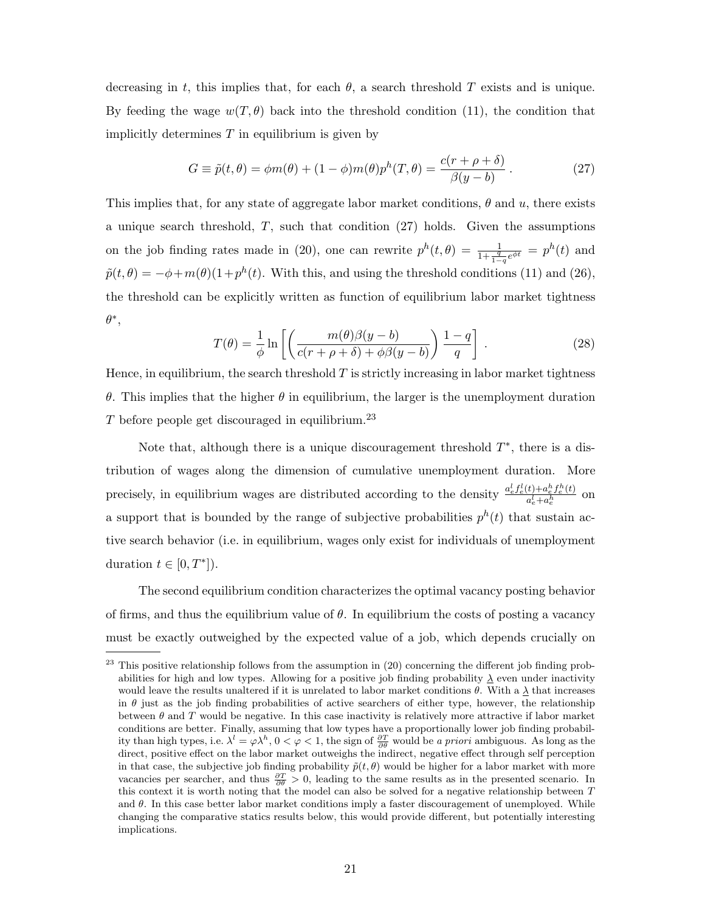decreasing in t, this implies that, for each  $\theta$ , a search threshold T exists and is unique. By feeding the wage  $w(T, \theta)$  back into the threshold condition (11), the condition that implicitly determines  $T$  in equilibrium is given by

$$
G \equiv \tilde{p}(t,\theta) = \phi m(\theta) + (1-\phi)m(\theta)p^{h}(T,\theta) = \frac{c(r+\rho+\delta)}{\beta(y-b)}.
$$
 (27)

This implies that, for any state of aggregate labor market conditions,  $\theta$  and u, there exists a unique search threshold,  $T$ , such that condition (27) holds. Given the assumptions on the job finding rates made in (20), one can rewrite  $p^{h}(t, \theta) = \frac{1}{1 + \frac{q}{1-q}e^{\phi t}} = p^{h}(t)$  and  $\tilde{p}(t,\theta) = -\phi + m(\theta)(1+p^{h}(t))$ . With this, and using the threshold conditions (11) and (26), the threshold can be explicitly written as function of equilibrium labor market tightness  $\theta^*,$  $\mathbf{r}$  $\overline{a}$ 

$$
T(\theta) = \frac{1}{\phi} \ln \left[ \left( \frac{m(\theta)\beta(y-b)}{c(r+\rho+\delta)+\phi\beta(y-b)} \right) \frac{1-q}{q} \right].
$$
 (28)

Hence, in equilibrium, the search threshold  $T$  is strictly increasing in labor market tightness θ. This implies that the higher θ in equilibrium, the larger is the unemployment duration T before people get discouraged in equilibrium.<sup>23</sup>

Note that, although there is a unique discouragement threshold  $T^*$ , there is a distribution of wages along the dimension of cumulative unemployment duration. More precisely, in equilibrium wages are distributed according to the density  $\frac{a_e^l f_e^l(t) + a_e^h f_e^h(t)}{a_e^l + a_e^h}$  $\frac{a_e^l + a_e^h}{a_e^l + a_e^h}$  on a support that is bounded by the range of subjective probabilities  $p^h(t)$  that sustain active search behavior (i.e. in equilibrium, wages only exist for individuals of unemployment duration  $t \in [0, T^*]$ ).

The second equilibrium condition characterizes the optimal vacancy posting behavior of firms, and thus the equilibrium value of  $\theta$ . In equilibrium the costs of posting a vacancy must be exactly outweighed by the expected value of a job, which depends crucially on

 $23$  This positive relationship follows from the assumption in  $(20)$  concerning the different job finding probabilities for high and low types. Allowing for a positive job finding probability  $\lambda$  even under inactivity would leave the results unaltered if it is unrelated to labor market conditions  $\theta$ . With a  $\lambda$  that increases in  $\theta$  just as the job finding probabilities of active searchers of either type, however, the relationship between  $\theta$  and T would be negative. In this case inactivity is relatively more attractive if labor market conditions are better. Finally, assuming that low types have a proportionally lower job finding probability than high types, i.e.  $\lambda^l = \varphi \lambda^h$ ,  $0 < \varphi < 1$ , the sign of  $\frac{\partial T}{\partial \theta}$  would be a priori ambiguous. As long as the direct, positive effect on the labor market outweighs the indirect, negative effect through self perception in that case, the subjective job finding probability  $\tilde{p}(t, \theta)$  would be higher for a labor market with more vacancies per searcher, and thus  $\frac{\partial T}{\partial \theta} > 0$ , leading to the same results as in the presented scenario. In this context it is worth noting that the model can also be solved for a negative relationship between  $T$ and  $\theta$ . In this case better labor market conditions imply a faster discouragement of unemployed. While changing the comparative statics results below, this would provide different, but potentially interesting implications.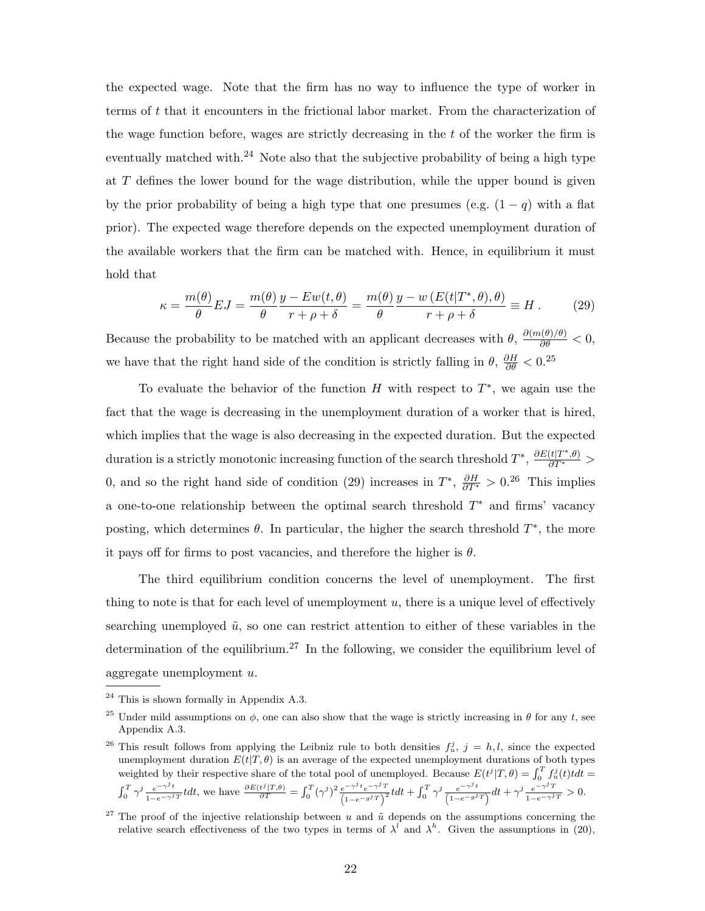the expected wage. Note that the firm has no way to influence the type of worker in terms of t that it encounters in the frictional labor market. From the characterization of the wage function before, wages are strictly decreasing in the t of the worker the firm is eventually matched with.<sup>24</sup> Note also that the subjective probability of being a high type at T defines the lower bound for the wage distribution, while the upper bound is given by the prior probability of being a high type that one presumes (e.g.  $(1 - q)$  with a flat prior). The expected wage therefore depends on the expected unemployment duration of the available workers that the firm can be matched with. Hence, in equilibrium it must hold that

$$
\kappa = \frac{m(\theta)}{\theta} EJ = \frac{m(\theta)}{\theta} \frac{y - Ew(t, \theta)}{r + \rho + \delta} = \frac{m(\theta)}{\theta} \frac{y - w(E(t|T^*, \theta), \theta)}{r + \rho + \delta} \equiv H. \tag{29}
$$

Because the probability to be matched with an applicant decreases with  $\theta$ ,  $\frac{\partial (m(\theta)/\theta)}{\partial \theta} < 0$ , we have that the right hand side of the condition is strictly falling in  $\theta$ ,  $\frac{\partial H}{\partial \theta} < 0.^{25}$ 

To evaluate the behavior of the function  $H$  with respect to  $T^*$ , we again use the fact that the wage is decreasing in the unemployment duration of a worker that is hired, which implies that the wage is also decreasing in the expected duration. But the expected duration is a strictly monotonic increasing function of the search threshold  $T^*$ ,  $\frac{\partial E(t|T^*,\theta)}{\partial T^*}$ 0, and so the right hand side of condition (29) increases in  $T^*$ ,  $\frac{\partial H}{\partial T^*} > 0.26$  This implies a one-to-one relationship between the optimal search threshold  $T^*$  and firms' vacancy posting, which determines  $\theta$ . In particular, the higher the search threshold  $T^*$ , the more it pays off for firms to post vacancies, and therefore the higher is  $\theta$ .

The third equilibrium condition concerns the level of unemployment. The first thing to note is that for each level of unemployment  $u$ , there is a unique level of effectively searching unemployed  $\tilde{u}$ , so one can restrict attention to either of these variables in the determination of the equilibrium.<sup>27</sup> In the following, we consider the equilibrium level of aggregate unemployment u.

 $24$  This is shown formally in Appendix A.3.

<sup>&</sup>lt;sup>25</sup> Under mild assumptions on  $\phi$ , one can also show that the wage is strictly increasing in  $\theta$  for any t, see Appendix A.3.

<sup>&</sup>lt;sup>26</sup> This result follows from applying the Leibniz rule to both densities  $f_u^j$ ,  $j = h, l$ , since the expected unemployment duration  $E(t|T,\theta)$  is an average of the expected unemployment durations of both types weighted by their respective share of the total pool of unemployed. Because  $E(t^j|T,\theta) = \int_0^T f^j_u(t) t dt =$  $\int_0^T \gamma^j \frac{e^{-\gamma^j t}}{1-e^{-\gamma^j t}}$  $\frac{e^{-\gamma^j t}}{1-e^{-\gamma^j T}} t dt$ , we have  $\frac{\partial E(t^j | T, \theta)}{\partial T} = \int_0^T (\gamma^j)^2 \frac{e^{-\gamma^j t} e^{-\gamma^j T}}{(1-e^{-g^j T})^2}$  $\frac{e^{-\gamma^{j} t} e^{-\gamma^{j} T}}{\left(1-e^{-g^{j} T}\right)^{2}} t dt + \int_{0}^{T} \gamma^{j} \frac{e^{-\gamma^{j} t}}{\left(1-e^{-g^{j} T}\right)^{2}}$  $\frac{e^{-\gamma^j t}}{(1-e^{-g^j T})} dt + \gamma^j \frac{e^{-\gamma^j T}}{1-e^{-\gamma^j T}} > 0.$ 

<sup>&</sup>lt;sup>27</sup> The proof of the injective relationship between u and  $\tilde{u}$  depends on the assumptions concerning the relative search effectiveness of the two types in terms of  $\lambda^l$  and  $\lambda^h$ . Given the assumptions in (20),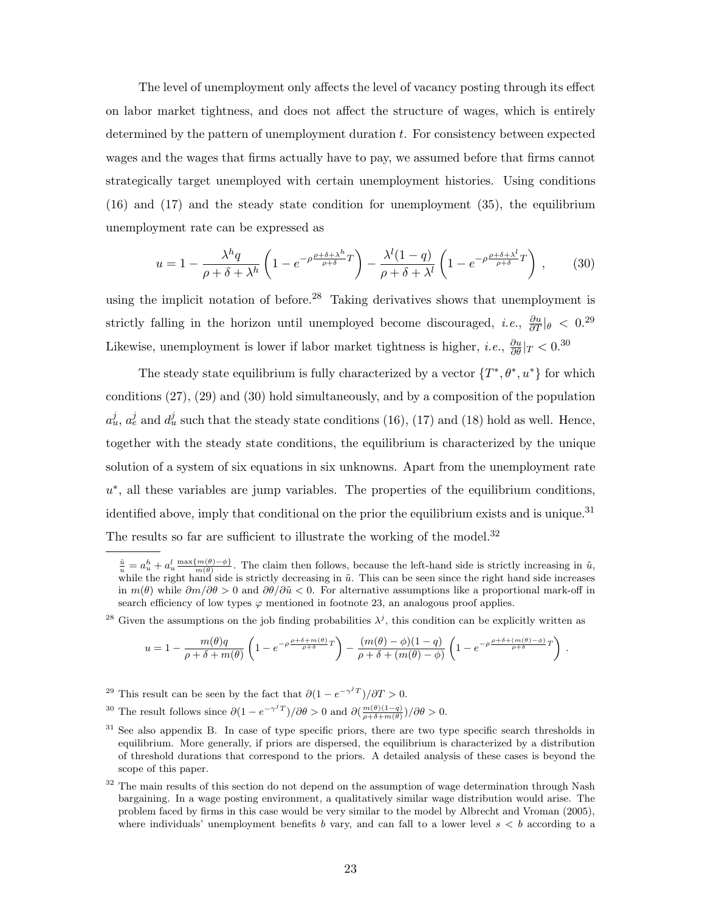The level of unemployment only affects the level of vacancy posting through its effect on labor market tightness, and does not affect the structure of wages, which is entirely determined by the pattern of unemployment duration t. For consistency between expected wages and the wages that firms actually have to pay, we assumed before that firms cannot strategically target unemployed with certain unemployment histories. Using conditions (16) and (17) and the steady state condition for unemployment (35), the equilibrium unemployment rate can be expressed as

$$
u = 1 - \frac{\lambda^h q}{\rho + \delta + \lambda^h} \left( 1 - e^{-\rho \frac{\rho + \delta + \lambda^h}{\rho + \delta}} T \right) - \frac{\lambda^l (1 - q)}{\rho + \delta + \lambda^l} \left( 1 - e^{-\rho \frac{\rho + \delta + \lambda^l}{\rho + \delta}} T \right) ,\qquad(30)
$$

using the implicit notation of before.<sup>28</sup> Taking derivatives shows that unemployment is strictly falling in the horizon until unemployed become discouraged, *i.e.*,  $\frac{\partial u}{\partial T}|_{\theta} < 0.^{29}$ Likewise, unemployment is lower if labor market tightness is higher, *i.e.*,  $\frac{\partial u}{\partial \theta}|_T < 0$ .<sup>30</sup>

The steady state equilibrium is fully characterized by a vector  $\{T^*,\theta^*,u^*\}$  for which conditions (27), (29) and (30) hold simultaneously, and by a composition of the population  $a_u^j$ ,  $a_e^j$  and  $d_u^j$  such that the steady state conditions (16), (17) and (18) hold as well. Hence, together with the steady state conditions, the equilibrium is characterized by the unique solution of a system of six equations in six unknowns. Apart from the unemployment rate u<sup>\*</sup>, all these variables are jump variables. The properties of the equilibrium conditions, identified above, imply that conditional on the prior the equilibrium exists and is unique.<sup>31</sup> The results so far are sufficient to illustrate the working of the model.<sup>32</sup>

<sup>28</sup> Given the assumptions on the job finding probabilities  $\lambda^j$ , this condition can be explicitly written as

$$
u = 1 - \frac{m(\theta)q}{\rho + \delta + m(\theta)} \left( 1 - e^{-\rho \frac{\rho + \delta + m(\theta)}{\rho + \delta}} r \right) - \frac{(m(\theta) - \phi)(1 - q)}{\rho + \delta + (m(\theta) - \phi)} \left( 1 - e^{-\rho \frac{\rho + \delta + (m(\theta) - \phi)}{\rho + \delta}} r \right) .
$$

- <sup>29</sup> This result can be seen by the fact that  $\partial(1 e^{-\gamma^j T})/\partial T > 0$ .
- <sup>30</sup> The result follows since  $\partial (1 e^{-\gamma^j T})/\partial \theta > 0$  and  $\partial (\frac{m(\theta)(1-q)}{\rho + \delta + m(\theta)})/\partial \theta > 0$ .
- <sup>31</sup> See also appendix B. In case of type specific priors, there are two type specific search thresholds in equilibrium. More generally, if priors are dispersed, the equilibrium is characterized by a distribution of threshold durations that correspond to the priors. A detailed analysis of these cases is beyond the scope of this paper.
- <sup>32</sup> The main results of this section do not depend on the assumption of wage determination through Nash bargaining. In a wage posting environment, a qualitatively similar wage distribution would arise. The problem faced by firms in this case would be very similar to the model by Albrecht and Vroman (2005), where individuals' unemployment benefits b vary, and can fall to a lower level  $s < b$  according to a

 $\frac{\tilde{u}}{u} = a_u^h + a_u^l \frac{\max\{m(\theta) - \phi\}}{m(\theta)}$ . The claim then follows, because the left-hand side is strictly increasing in  $\tilde{u}$ , while the right hand side is strictly decreasing in  $\tilde{u}$ . This can be seen since the right hand side increases in  $m(\theta)$  while  $\partial m/\partial \theta > 0$  and  $\partial \theta/\partial \tilde{u} < 0$ . For alternative assumptions like a proportional mark-off in search efficiency of low types  $\varphi$  mentioned in footnote 23, an analogous proof applies.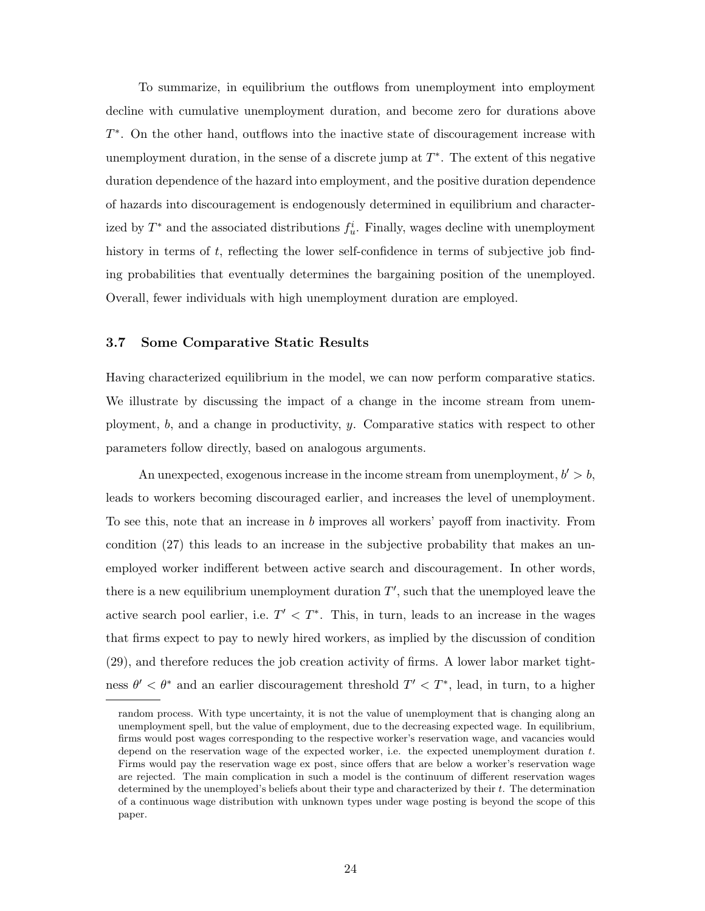To summarize, in equilibrium the outflows from unemployment into employment decline with cumulative unemployment duration, and become zero for durations above T ∗ . On the other hand, outflows into the inactive state of discouragement increase with unemployment duration, in the sense of a discrete jump at  $T^*$ . The extent of this negative duration dependence of the hazard into employment, and the positive duration dependence of hazards into discouragement is endogenously determined in equilibrium and characterized by  $T^*$  and the associated distributions  $f_u^i$ . Finally, wages decline with unemployment history in terms of  $t$ , reflecting the lower self-confidence in terms of subjective job finding probabilities that eventually determines the bargaining position of the unemployed. Overall, fewer individuals with high unemployment duration are employed.

#### 3.7 Some Comparative Static Results

Having characterized equilibrium in the model, we can now perform comparative statics. We illustrate by discussing the impact of a change in the income stream from unemployment, b, and a change in productivity, y. Comparative statics with respect to other parameters follow directly, based on analogous arguments.

An unexpected, exogenous increase in the income stream from unemployment,  $b' > b$ , leads to workers becoming discouraged earlier, and increases the level of unemployment. To see this, note that an increase in b improves all workers' payoff from inactivity. From condition (27) this leads to an increase in the subjective probability that makes an unemployed worker indifferent between active search and discouragement. In other words, there is a new equilibrium unemployment duration  $T'$ , such that the unemployed leave the active search pool earlier, i.e.  $T' < T^*$ . This, in turn, leads to an increase in the wages that firms expect to pay to newly hired workers, as implied by the discussion of condition (29), and therefore reduces the job creation activity of firms. A lower labor market tightness  $\theta' < \theta^*$  and an earlier discouragement threshold  $T' < T^*$ , lead, in turn, to a higher

random process. With type uncertainty, it is not the value of unemployment that is changing along an unemployment spell, but the value of employment, due to the decreasing expected wage. In equilibrium, firms would post wages corresponding to the respective worker's reservation wage, and vacancies would depend on the reservation wage of the expected worker, i.e. the expected unemployment duration  $t$ . Firms would pay the reservation wage ex post, since offers that are below a worker's reservation wage are rejected. The main complication in such a model is the continuum of different reservation wages determined by the unemployed's beliefs about their type and characterized by their t. The determination of a continuous wage distribution with unknown types under wage posting is beyond the scope of this paper.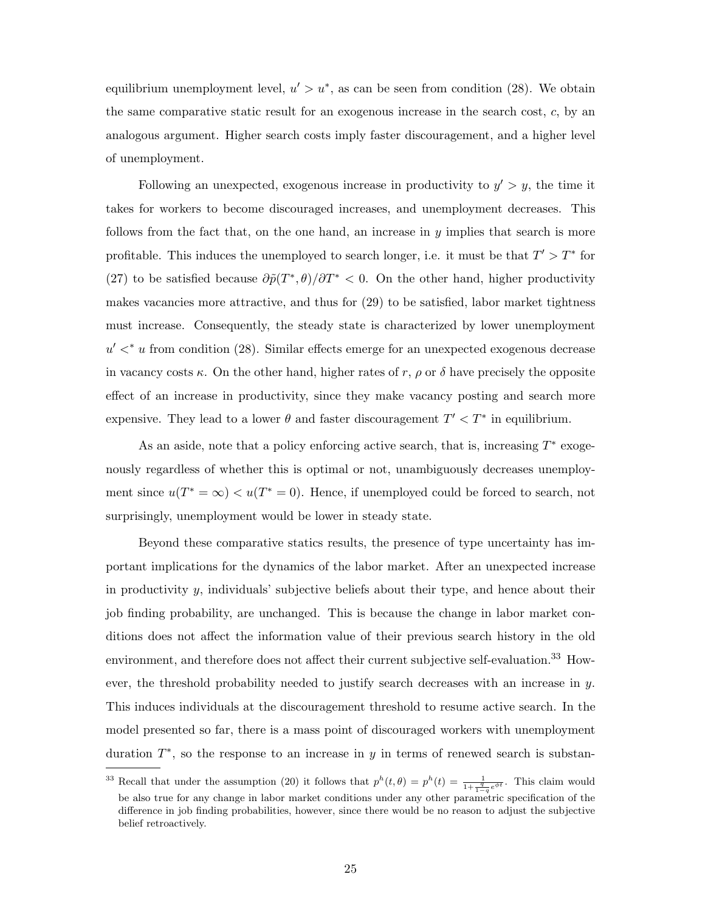equilibrium unemployment level,  $u' > u^*$ , as can be seen from condition (28). We obtain the same comparative static result for an exogenous increase in the search cost,  $c$ , by an analogous argument. Higher search costs imply faster discouragement, and a higher level of unemployment.

Following an unexpected, exogenous increase in productivity to  $y' > y$ , the time it takes for workers to become discouraged increases, and unemployment decreases. This follows from the fact that, on the one hand, an increase in  $y$  implies that search is more profitable. This induces the unemployed to search longer, i.e. it must be that  $T' > T^*$  for (27) to be satisfied because  $\frac{\partial \tilde{p}(T^*, \theta)}{\partial T^*}$  < 0. On the other hand, higher productivity makes vacancies more attractive, and thus for (29) to be satisfied, labor market tightness must increase. Consequently, the steady state is characterized by lower unemployment  $u' <^* u$  from condition (28). Similar effects emerge for an unexpected exogenous decrease in vacancy costs  $\kappa$ . On the other hand, higher rates of r,  $\rho$  or  $\delta$  have precisely the opposite effect of an increase in productivity, since they make vacancy posting and search more expensive. They lead to a lower  $\theta$  and faster discouragement  $T' < T^*$  in equilibrium.

As an aside, note that a policy enforcing active search, that is, increasing  $T^*$  exogenously regardless of whether this is optimal or not, unambiguously decreases unemployment since  $u(T^* = \infty) < u(T^* = 0)$ . Hence, if unemployed could be forced to search, not surprisingly, unemployment would be lower in steady state.

Beyond these comparative statics results, the presence of type uncertainty has important implications for the dynamics of the labor market. After an unexpected increase in productivity  $y$ , individuals' subjective beliefs about their type, and hence about their job finding probability, are unchanged. This is because the change in labor market conditions does not affect the information value of their previous search history in the old environment, and therefore does not affect their current subjective self-evaluation.<sup>33</sup> However, the threshold probability needed to justify search decreases with an increase in y. This induces individuals at the discouragement threshold to resume active search. In the model presented so far, there is a mass point of discouraged workers with unemployment duration  $T^*$ , so the response to an increase in y in terms of renewed search is substan-

<sup>&</sup>lt;sup>33</sup> Recall that under the assumption (20) it follows that  $p^{h}(t, \theta) = p^{h}(t) = \frac{1}{1 + \frac{q}{1-q}e^{\phi t}}$ . This claim would be also true for any change in labor market conditions under any other parametric specification of the difference in job finding probabilities, however, since there would be no reason to adjust the subjective belief retroactively.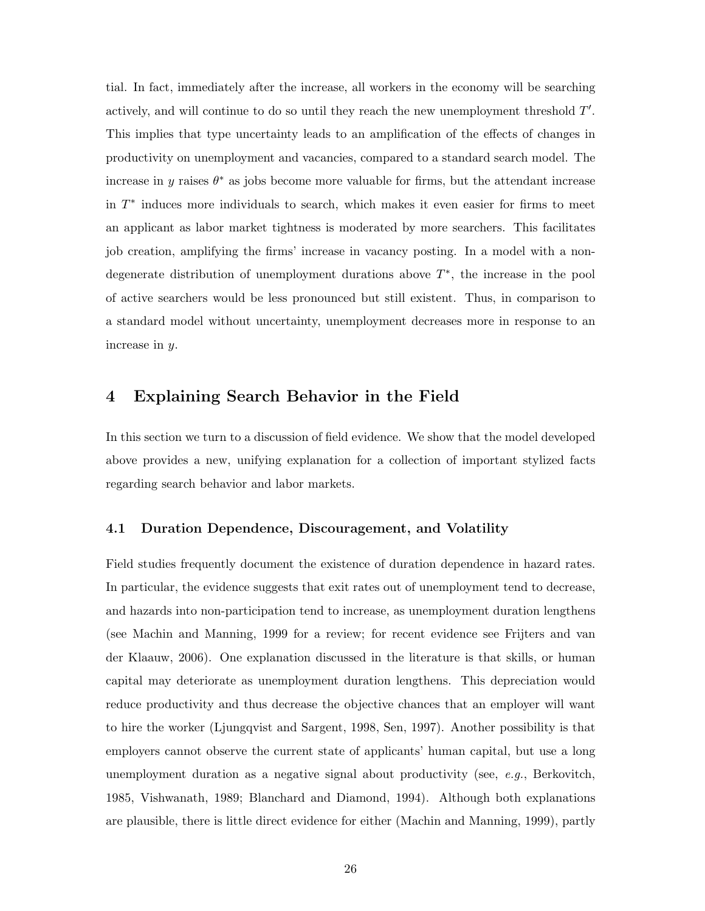tial. In fact, immediately after the increase, all workers in the economy will be searching actively, and will continue to do so until they reach the new unemployment threshold  $T'$ . This implies that type uncertainty leads to an amplification of the effects of changes in productivity on unemployment and vacancies, compared to a standard search model. The increase in y raises  $\theta^*$  as jobs become more valuable for firms, but the attendant increase in  $T^*$  induces more individuals to search, which makes it even easier for firms to meet an applicant as labor market tightness is moderated by more searchers. This facilitates job creation, amplifying the firms' increase in vacancy posting. In a model with a nondegenerate distribution of unemployment durations above  $T^*$ , the increase in the pool of active searchers would be less pronounced but still existent. Thus, in comparison to a standard model without uncertainty, unemployment decreases more in response to an increase in y.

### 4 Explaining Search Behavior in the Field

In this section we turn to a discussion of field evidence. We show that the model developed above provides a new, unifying explanation for a collection of important stylized facts regarding search behavior and labor markets.

#### 4.1 Duration Dependence, Discouragement, and Volatility

Field studies frequently document the existence of duration dependence in hazard rates. In particular, the evidence suggests that exit rates out of unemployment tend to decrease, and hazards into non-participation tend to increase, as unemployment duration lengthens (see Machin and Manning, 1999 for a review; for recent evidence see Frijters and van der Klaauw, 2006). One explanation discussed in the literature is that skills, or human capital may deteriorate as unemployment duration lengthens. This depreciation would reduce productivity and thus decrease the objective chances that an employer will want to hire the worker (Ljungqvist and Sargent, 1998, Sen, 1997). Another possibility is that employers cannot observe the current state of applicants' human capital, but use a long unemployment duration as a negative signal about productivity (see,  $e.g.,$  Berkovitch, 1985, Vishwanath, 1989; Blanchard and Diamond, 1994). Although both explanations are plausible, there is little direct evidence for either (Machin and Manning, 1999), partly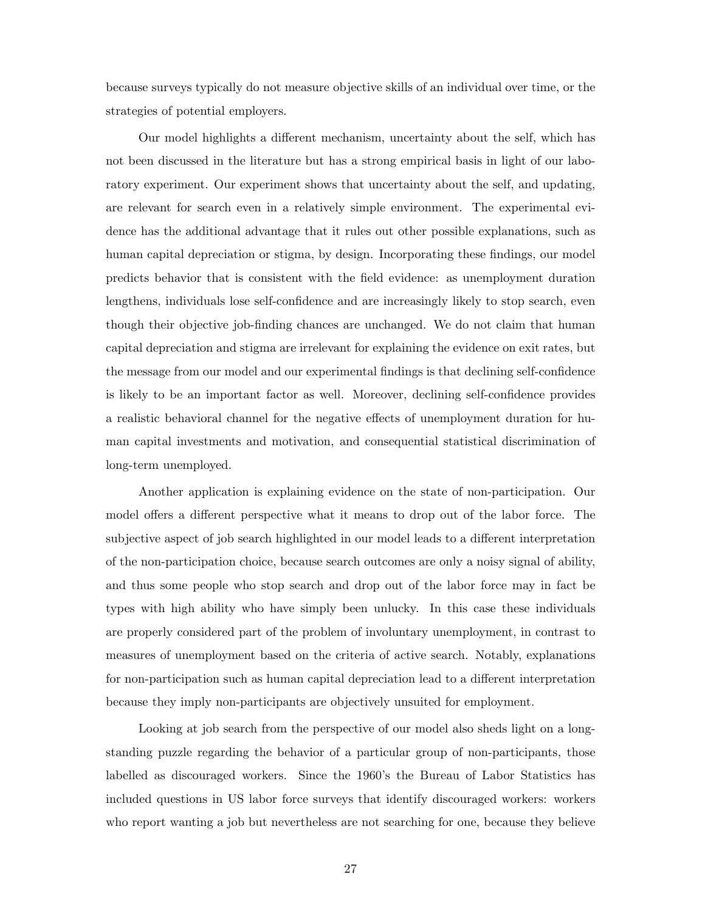because surveys typically do not measure objective skills of an individual over time, or the strategies of potential employers.

Our model highlights a different mechanism, uncertainty about the self, which has not been discussed in the literature but has a strong empirical basis in light of our laboratory experiment. Our experiment shows that uncertainty about the self, and updating, are relevant for search even in a relatively simple environment. The experimental evidence has the additional advantage that it rules out other possible explanations, such as human capital depreciation or stigma, by design. Incorporating these findings, our model predicts behavior that is consistent with the field evidence: as unemployment duration lengthens, individuals lose self-confidence and are increasingly likely to stop search, even though their objective job-finding chances are unchanged. We do not claim that human capital depreciation and stigma are irrelevant for explaining the evidence on exit rates, but the message from our model and our experimental findings is that declining self-confidence is likely to be an important factor as well. Moreover, declining self-confidence provides a realistic behavioral channel for the negative effects of unemployment duration for human capital investments and motivation, and consequential statistical discrimination of long-term unemployed.

Another application is explaining evidence on the state of non-participation. Our model offers a different perspective what it means to drop out of the labor force. The subjective aspect of job search highlighted in our model leads to a different interpretation of the non-participation choice, because search outcomes are only a noisy signal of ability, and thus some people who stop search and drop out of the labor force may in fact be types with high ability who have simply been unlucky. In this case these individuals are properly considered part of the problem of involuntary unemployment, in contrast to measures of unemployment based on the criteria of active search. Notably, explanations for non-participation such as human capital depreciation lead to a different interpretation because they imply non-participants are objectively unsuited for employment.

Looking at job search from the perspective of our model also sheds light on a longstanding puzzle regarding the behavior of a particular group of non-participants, those labelled as discouraged workers. Since the 1960's the Bureau of Labor Statistics has included questions in US labor force surveys that identify discouraged workers: workers who report wanting a job but nevertheless are not searching for one, because they believe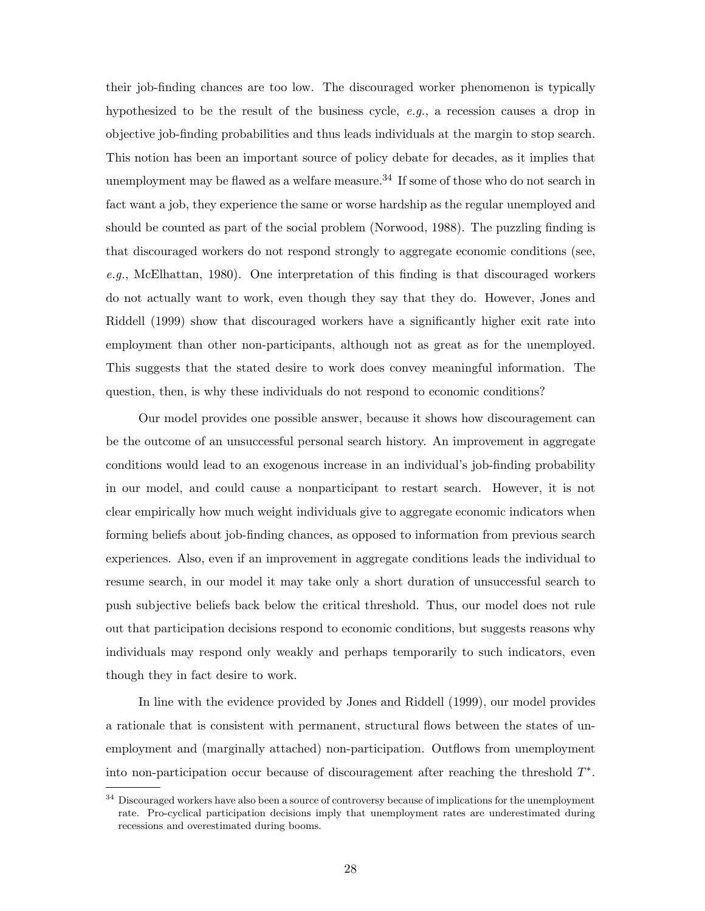their job-finding chances are too low. The discouraged worker phenomenon is typically hypothesized to be the result of the business cycle,  $e.g.,$  a recession causes a drop in objective job-finding probabilities and thus leads individuals at the margin to stop search. This notion has been an important source of policy debate for decades, as it implies that unemployment may be flawed as a welfare measure.<sup>34</sup> If some of those who do not search in fact want a job, they experience the same or worse hardship as the regular unemployed and should be counted as part of the social problem (Norwood, 1988). The puzzling finding is that discouraged workers do not respond strongly to aggregate economic conditions (see, e.g., McElhattan, 1980). One interpretation of this finding is that discouraged workers do not actually want to work, even though they say that they do. However, Jones and Riddell (1999) show that discouraged workers have a significantly higher exit rate into employment than other non-participants, although not as great as for the unemployed. This suggests that the stated desire to work does convey meaningful information. The question, then, is why these individuals do not respond to economic conditions?

Our model provides one possible answer, because it shows how discouragement can be the outcome of an unsuccessful personal search history. An improvement in aggregate conditions would lead to an exogenous increase in an individual's job-finding probability in our model, and could cause a nonparticipant to restart search. However, it is not clear empirically how much weight individuals give to aggregate economic indicators when forming beliefs about job-finding chances, as opposed to information from previous search experiences. Also, even if an improvement in aggregate conditions leads the individual to resume search, in our model it may take only a short duration of unsuccessful search to push subjective beliefs back below the critical threshold. Thus, our model does not rule out that participation decisions respond to economic conditions, but suggests reasons why individuals may respond only weakly and perhaps temporarily to such indicators, even though they in fact desire to work.

In line with the evidence provided by Jones and Riddell (1999), our model provides a rationale that is consistent with permanent, structural flows between the states of unemployment and (marginally attached) non-participation. Outflows from unemployment into non-participation occur because of discouragement after reaching the threshold  $T^*$ .

<sup>&</sup>lt;sup>34</sup> Discouraged workers have also been a source of controversy because of implications for the unemployment rate. Pro-cyclical participation decisions imply that unemployment rates are underestimated during recessions and overestimated during booms.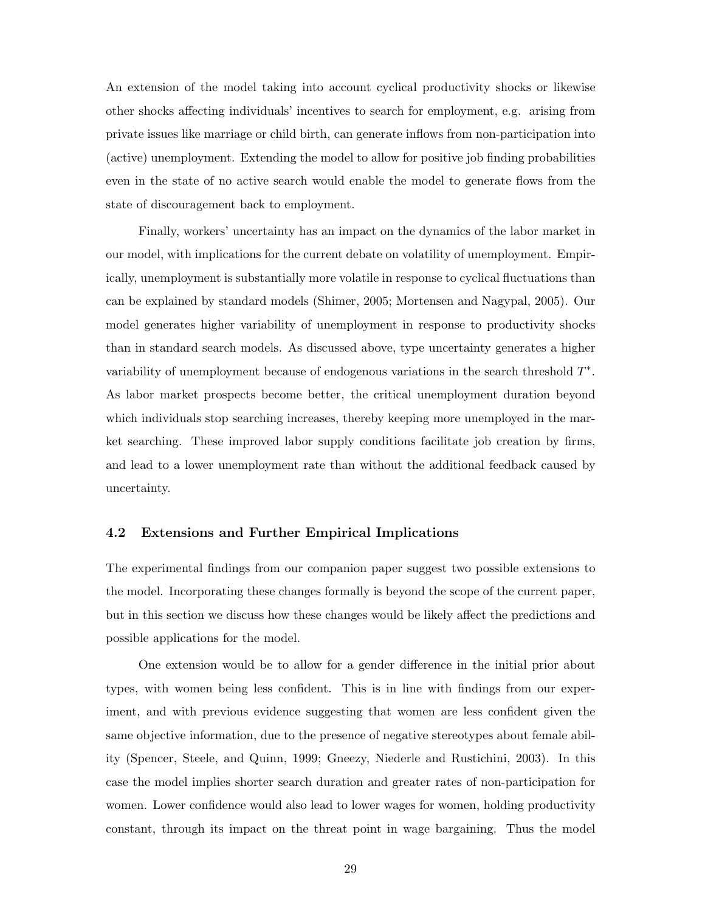An extension of the model taking into account cyclical productivity shocks or likewise other shocks affecting individuals' incentives to search for employment, e.g. arising from private issues like marriage or child birth, can generate inflows from non-participation into (active) unemployment. Extending the model to allow for positive job finding probabilities even in the state of no active search would enable the model to generate flows from the state of discouragement back to employment.

Finally, workers' uncertainty has an impact on the dynamics of the labor market in our model, with implications for the current debate on volatility of unemployment. Empirically, unemployment is substantially more volatile in response to cyclical fluctuations than can be explained by standard models (Shimer, 2005; Mortensen and Nagypal, 2005). Our model generates higher variability of unemployment in response to productivity shocks than in standard search models. As discussed above, type uncertainty generates a higher variability of unemployment because of endogenous variations in the search threshold  $T^*$ . As labor market prospects become better, the critical unemployment duration beyond which individuals stop searching increases, thereby keeping more unemployed in the market searching. These improved labor supply conditions facilitate job creation by firms, and lead to a lower unemployment rate than without the additional feedback caused by uncertainty.

### 4.2 Extensions and Further Empirical Implications

The experimental findings from our companion paper suggest two possible extensions to the model. Incorporating these changes formally is beyond the scope of the current paper, but in this section we discuss how these changes would be likely affect the predictions and possible applications for the model.

One extension would be to allow for a gender difference in the initial prior about types, with women being less confident. This is in line with findings from our experiment, and with previous evidence suggesting that women are less confident given the same objective information, due to the presence of negative stereotypes about female ability (Spencer, Steele, and Quinn, 1999; Gneezy, Niederle and Rustichini, 2003). In this case the model implies shorter search duration and greater rates of non-participation for women. Lower confidence would also lead to lower wages for women, holding productivity constant, through its impact on the threat point in wage bargaining. Thus the model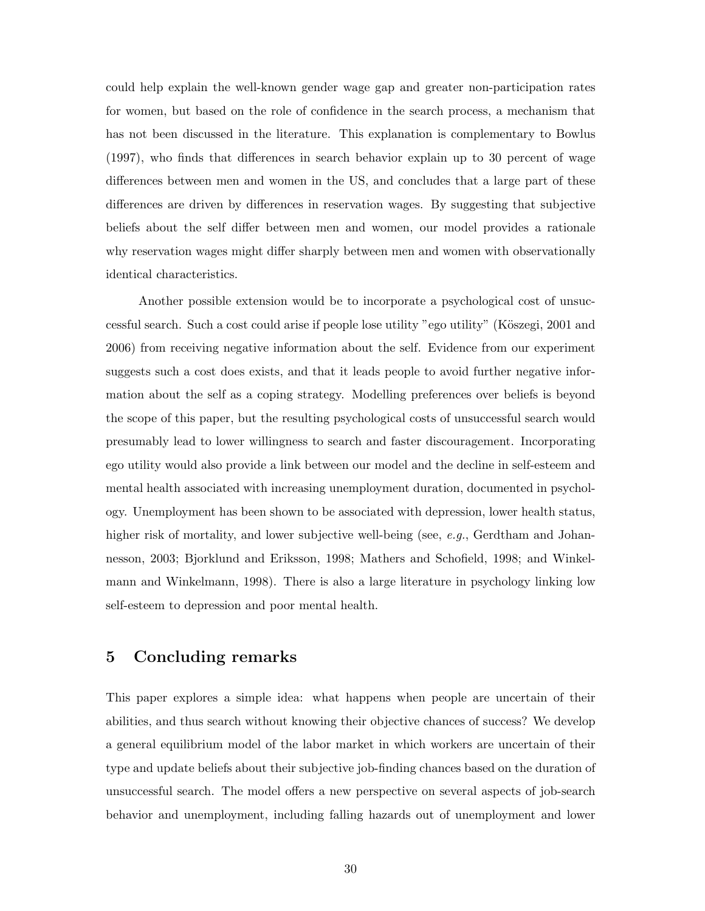could help explain the well-known gender wage gap and greater non-participation rates for women, but based on the role of confidence in the search process, a mechanism that has not been discussed in the literature. This explanation is complementary to Bowlus (1997), who finds that differences in search behavior explain up to 30 percent of wage differences between men and women in the US, and concludes that a large part of these differences are driven by differences in reservation wages. By suggesting that subjective beliefs about the self differ between men and women, our model provides a rationale why reservation wages might differ sharply between men and women with observationally identical characteristics.

Another possible extension would be to incorporate a psychological cost of unsuccessful search. Such a cost could arise if people lose utility "ego utility" (Köszegi, 2001 and 2006) from receiving negative information about the self. Evidence from our experiment suggests such a cost does exists, and that it leads people to avoid further negative information about the self as a coping strategy. Modelling preferences over beliefs is beyond the scope of this paper, but the resulting psychological costs of unsuccessful search would presumably lead to lower willingness to search and faster discouragement. Incorporating ego utility would also provide a link between our model and the decline in self-esteem and mental health associated with increasing unemployment duration, documented in psychology. Unemployment has been shown to be associated with depression, lower health status, higher risk of mortality, and lower subjective well-being (see, e.g., Gerdtham and Johannesson, 2003; Bjorklund and Eriksson, 1998; Mathers and Schofield, 1998; and Winkelmann and Winkelmann, 1998). There is also a large literature in psychology linking low self-esteem to depression and poor mental health.

### 5 Concluding remarks

This paper explores a simple idea: what happens when people are uncertain of their abilities, and thus search without knowing their objective chances of success? We develop a general equilibrium model of the labor market in which workers are uncertain of their type and update beliefs about their subjective job-finding chances based on the duration of unsuccessful search. The model offers a new perspective on several aspects of job-search behavior and unemployment, including falling hazards out of unemployment and lower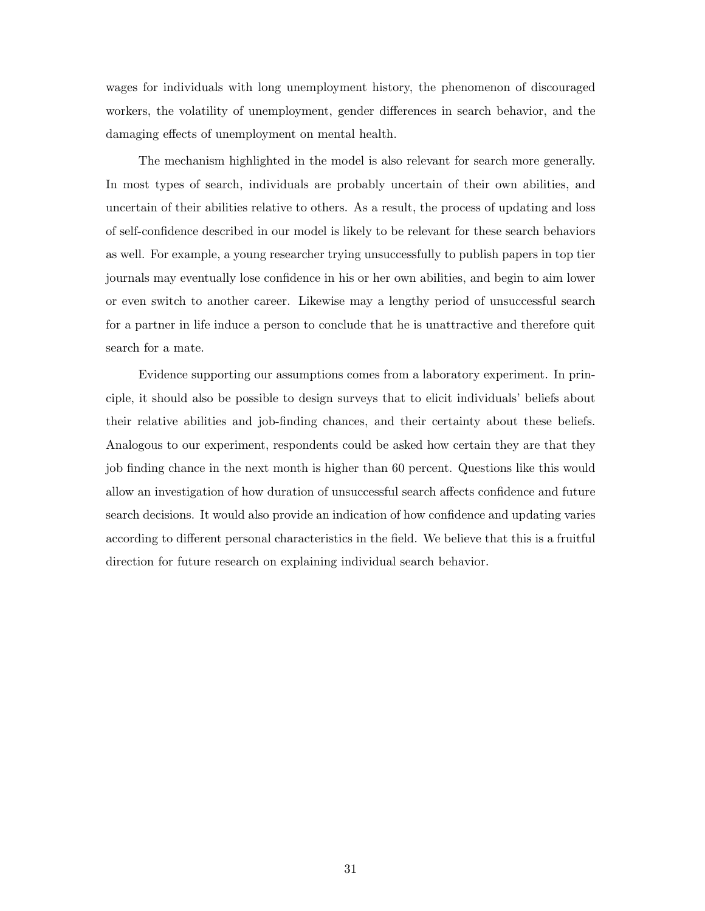wages for individuals with long unemployment history, the phenomenon of discouraged workers, the volatility of unemployment, gender differences in search behavior, and the damaging effects of unemployment on mental health.

The mechanism highlighted in the model is also relevant for search more generally. In most types of search, individuals are probably uncertain of their own abilities, and uncertain of their abilities relative to others. As a result, the process of updating and loss of self-confidence described in our model is likely to be relevant for these search behaviors as well. For example, a young researcher trying unsuccessfully to publish papers in top tier journals may eventually lose confidence in his or her own abilities, and begin to aim lower or even switch to another career. Likewise may a lengthy period of unsuccessful search for a partner in life induce a person to conclude that he is unattractive and therefore quit search for a mate.

Evidence supporting our assumptions comes from a laboratory experiment. In principle, it should also be possible to design surveys that to elicit individuals' beliefs about their relative abilities and job-finding chances, and their certainty about these beliefs. Analogous to our experiment, respondents could be asked how certain they are that they job finding chance in the next month is higher than 60 percent. Questions like this would allow an investigation of how duration of unsuccessful search affects confidence and future search decisions. It would also provide an indication of how confidence and updating varies according to different personal characteristics in the field. We believe that this is a fruitful direction for future research on explaining individual search behavior.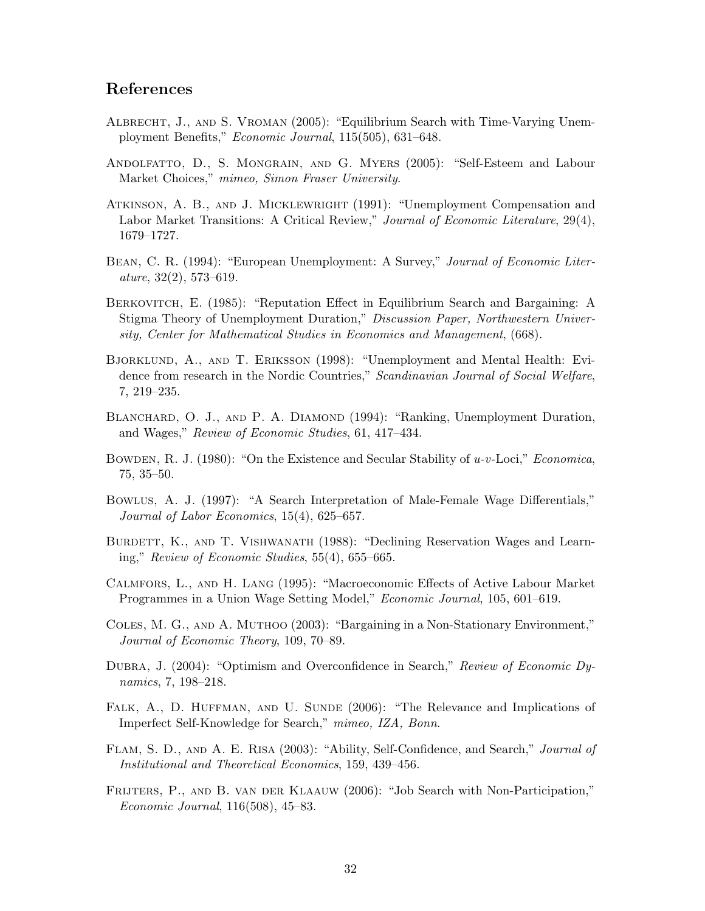## References

- Albrecht, J., and S. Vroman (2005): "Equilibrium Search with Time-Varying Unemployment Benefits," Economic Journal, 115(505), 631–648.
- Andolfatto, D., S. Mongrain, and G. Myers (2005): "Self-Esteem and Labour Market Choices," mimeo, Simon Fraser University.
- Atkinson, A. B., and J. Micklewright (1991): "Unemployment Compensation and Labor Market Transitions: A Critical Review," Journal of Economic Literature, 29(4), 1679–1727.
- BEAN, C. R. (1994): "European Unemployment: A Survey," Journal of Economic Liter $ature, 32(2), 573-619.$
- Berkovitch, E. (1985): "Reputation Effect in Equilibrium Search and Bargaining: A Stigma Theory of Unemployment Duration," Discussion Paper, Northwestern University, Center for Mathematical Studies in Economics and Management, (668).
- Bjorklund, A., and T. Eriksson (1998): "Unemployment and Mental Health: Evidence from research in the Nordic Countries," Scandinavian Journal of Social Welfare, 7, 219–235.
- BLANCHARD, O. J., AND P. A. DIAMOND (1994): "Ranking, Unemployment Duration, and Wages," Review of Economic Studies, 61, 417–434.
- BOWDEN, R. J. (1980): "On the Existence and Secular Stability of  $u$ -v-Loci," *Economica*, 75, 35–50.
- Bowlus, A. J. (1997): "A Search Interpretation of Male-Female Wage Differentials," Journal of Labor Economics, 15(4), 625–657.
- BURDETT, K., AND T. VISHWANATH (1988): "Declining Reservation Wages and Learning," Review of Economic Studies, 55(4), 655–665.
- Calmfors, L., and H. Lang (1995): "Macroeconomic Effects of Active Labour Market Programmes in a Union Wage Setting Model," Economic Journal, 105, 601–619.
- Coles, M. G., and A. Muthoo (2003): "Bargaining in a Non-Stationary Environment," Journal of Economic Theory, 109, 70–89.
- Dubra, J. (2004): "Optimism and Overconfidence in Search," Review of Economic Dynamics, 7, 198–218.
- FALK, A., D. HUFFMAN, AND U. SUNDE (2006): "The Relevance and Implications of Imperfect Self-Knowledge for Search," mimeo, IZA, Bonn.
- Flam, S. D., and A. E. Risa (2003): "Ability, Self-Confidence, and Search," Journal of Institutional and Theoretical Economics, 159, 439–456.
- FRIJTERS, P., AND B. VAN DER KLAAUW (2006): "Job Search with Non-Participation," Economic Journal, 116(508), 45–83.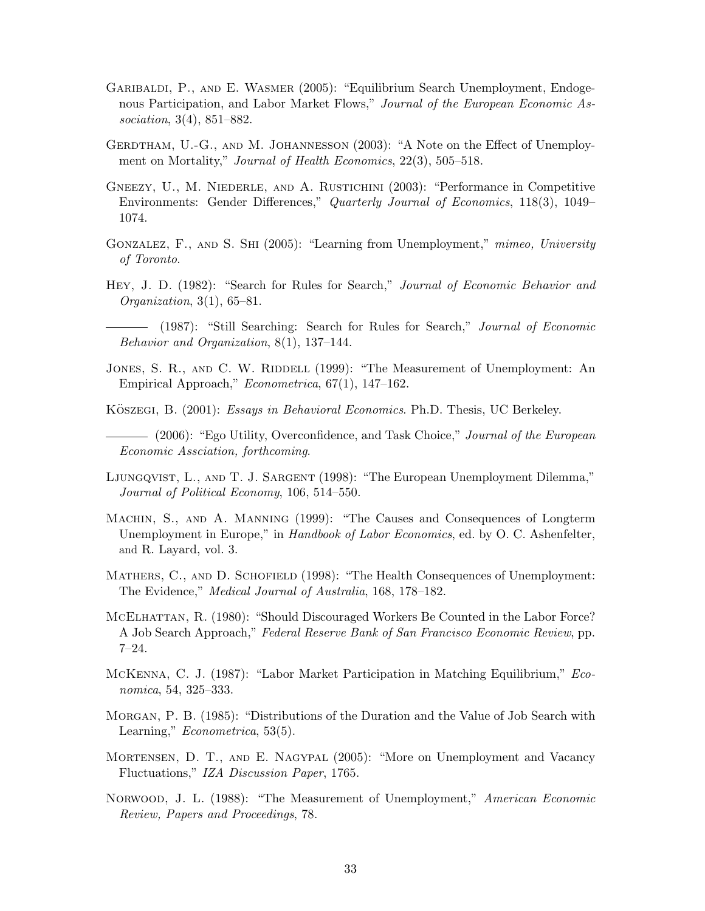- Garibaldi, P., and E. Wasmer (2005): "Equilibrium Search Unemployment, Endogenous Participation, and Labor Market Flows," Journal of the European Economic Association, 3(4), 851–882.
- GERDTHAM, U.-G., AND M. JOHANNESSON (2003): "A Note on the Effect of Unemployment on Mortality," *Journal of Health Economics*, 22(3), 505–518.
- GNEEZY, U., M. NIEDERLE, AND A. RUSTICHINI (2003): "Performance in Competitive Environments: Gender Differences," Quarterly Journal of Economics, 118(3), 1049– 1074.
- GONZALEZ, F., AND S. SHI (2005): "Learning from Unemployment," mimeo, University of Toronto.
- Hey, J. D. (1982): "Search for Rules for Search," Journal of Economic Behavior and Organization,  $3(1)$ ,  $65-81$ .
- (1987): "Still Searching: Search for Rules for Search," Journal of Economic Behavior and Organization, 8(1), 137–144.
- JONES, S. R., AND C. W. RIDDELL (1999): "The Measurement of Unemployment: An Empirical Approach," Econometrica, 67(1), 147–162.
- KÖSZEGI, B. (2001): Essays in Behavioral Economics. Ph.D. Thesis, UC Berkeley.
- (2006): "Ego Utility, Overconfidence, and Task Choice," Journal of the European Economic Assciation, forthcoming.
- Ljungqvist, L., and T. J. Sargent (1998): "The European Unemployment Dilemma," Journal of Political Economy, 106, 514–550.
- Machin, S., and A. Manning (1999): "The Causes and Consequences of Longterm Unemployment in Europe," in *Handbook of Labor Economics*, ed. by O. C. Ashenfelter, and R. Layard, vol. 3.
- MATHERS, C., AND D. SCHOFIELD (1998): "The Health Consequences of Unemployment: The Evidence," Medical Journal of Australia, 168, 178–182.
- MCELHATTAN, R. (1980): "Should Discouraged Workers Be Counted in the Labor Force? A Job Search Approach," Federal Reserve Bank of San Francisco Economic Review, pp. 7–24.
- McKenna, C. J. (1987): "Labor Market Participation in Matching Equilibrium," Economica, 54, 325–333.
- Morgan, P. B. (1985): "Distributions of the Duration and the Value of Job Search with Learning," *Econometrica*, 53(5).
- Mortensen, D. T., and E. Nagypal (2005): "More on Unemployment and Vacancy Fluctuations," IZA Discussion Paper, 1765.
- Norwood, J. L. (1988): "The Measurement of Unemployment," American Economic Review, Papers and Proceedings, 78.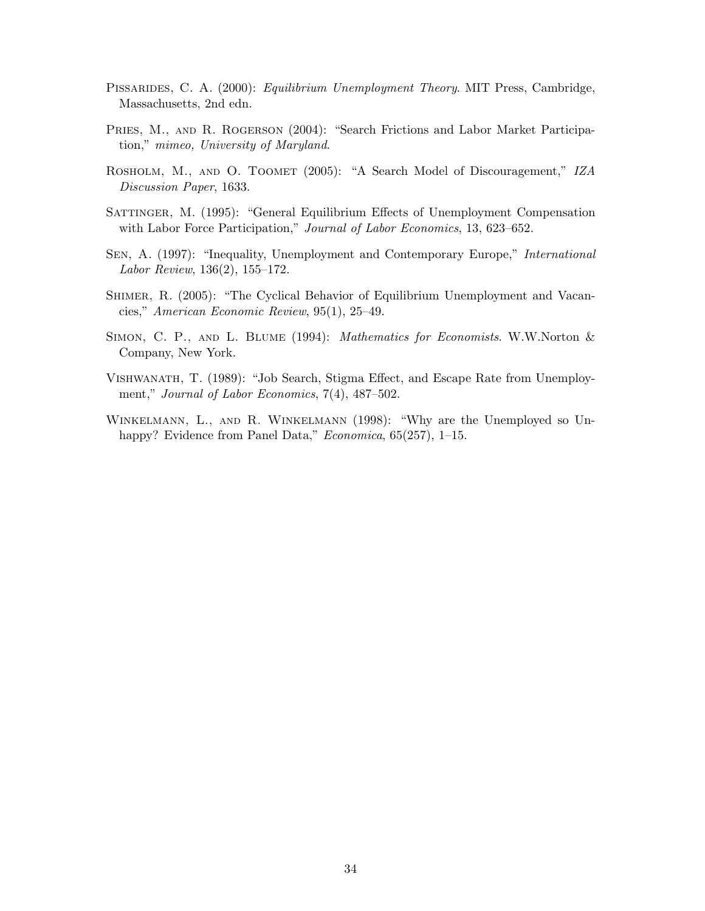- PISSARIDES, C. A. (2000): Equilibrium Unemployment Theory. MIT Press, Cambridge, Massachusetts, 2nd edn.
- PRIES, M., AND R. ROGERSON (2004): "Search Frictions and Labor Market Participation," mimeo, University of Maryland.
- ROSHOLM, M., AND O. TOOMET (2005): "A Search Model of Discouragement," IZA Discussion Paper, 1633.
- Sattinger, M. (1995): "General Equilibrium Effects of Unemployment Compensation with Labor Force Participation," Journal of Labor Economics, 13, 623–652.
- Sen, A. (1997): "Inequality, Unemployment and Contemporary Europe," International Labor Review, 136(2), 155–172.
- Shimer, R. (2005): "The Cyclical Behavior of Equilibrium Unemployment and Vacancies," American Economic Review, 95(1), 25–49.
- SIMON, C. P., AND L. BLUME (1994): *Mathematics for Economists.* W.W.Norton & Company, New York.
- Vishwanath, T. (1989): "Job Search, Stigma Effect, and Escape Rate from Unemployment," Journal of Labor Economics, 7(4), 487–502.
- Winkelmann, L., and R. Winkelmann (1998): "Why are the Unemployed so Unhappy? Evidence from Panel Data," Economica, 65(257), 1-15.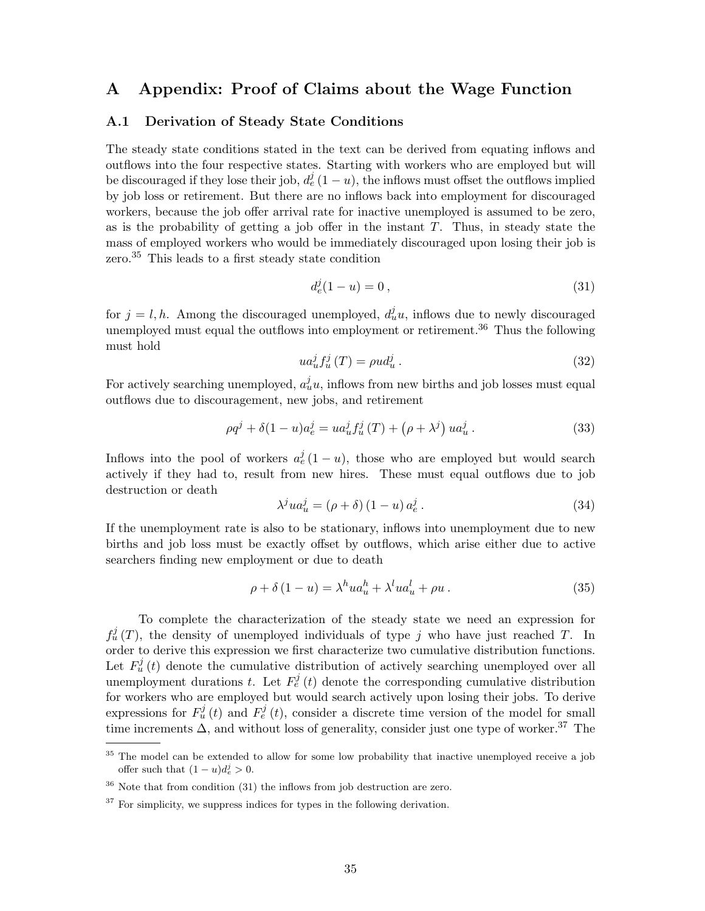### A Appendix: Proof of Claims about the Wage Function

#### A.1 Derivation of Steady State Conditions

The steady state conditions stated in the text can be derived from equating inflows and outflows into the four respective states. Starting with workers who are employed but will be discouraged if they lose their job,  $d_e^j(1-u)$ , the inflows must offset the outflows implied by job loss or retirement. But there are no inflows back into employment for discouraged workers, because the job offer arrival rate for inactive unemployed is assumed to be zero, as is the probability of getting a job offer in the instant  $T$ . Thus, in steady state the mass of employed workers who would be immediately discouraged upon losing their job is zero.<sup>35</sup> This leads to a first steady state condition

$$
d_e^j(1-u) = 0, \t\t(31)
$$

for  $j = l, h$ . Among the discouraged unemployed,  $d_u^j u$ , inflows due to newly discouraged unemployed must equal the outflows into employment or retirement.<sup>36</sup> Thus the following must hold

$$
ua_u^j f_u^j(T) = \rho u d_u^j. \tag{32}
$$

For actively searching unemployed,  $a_u^j u$ , inflows from new births and job losses must equal outflows due to discouragement, new jobs, and retirement

$$
\rho q^{j} + \delta (1 - u) a_{e}^{j} = u a_{u}^{j} f_{u}^{j} (T) + (\rho + \lambda^{j}) u a_{u}^{j} .
$$
 (33)

Inflows into the pool of workers  $a_e^j(1-u)$ , those who are employed but would search actively if they had to, result from new hires. These must equal outflows due to job destruction or death

$$
\lambda^{j}ua_{u}^{j} = (\rho + \delta) (1 - u) a_{e}^{j}. \qquad (34)
$$

If the unemployment rate is also to be stationary, inflows into unemployment due to new births and job loss must be exactly offset by outflows, which arise either due to active searchers finding new employment or due to death

$$
\rho + \delta (1 - u) = \lambda^h u a_u^h + \lambda^l u a_u^l + \rho u \,. \tag{35}
$$

To complete the characterization of the steady state we need an expression for  $f_u^j(T)$ , the density of unemployed individuals of type j who have just reached T. In order to derive this expression we first characterize two cumulative distribution functions. Let  $F_u^j(t)$  denote the cumulative distribution of actively searching unemployed over all unemployment durations t. Let  $F_e^j(t)$  denote the corresponding cumulative distribution for workers who are employed but would search actively upon losing their jobs. To derive expressions for  $F_u^j(t)$  and  $F_e^j(t)$ , consider a discrete time version of the model for small time increments  $\Delta$ , and without loss of generality, consider just one type of worker.<sup>37</sup> The

<sup>&</sup>lt;sup>35</sup> The model can be extended to allow for some low probability that inactive unemployed receive a job offer such that  $(1-u)d_e^j > 0$ .

 $36$  Note that from condition (31) the inflows from job destruction are zero.

 $37$  For simplicity, we suppress indices for types in the following derivation.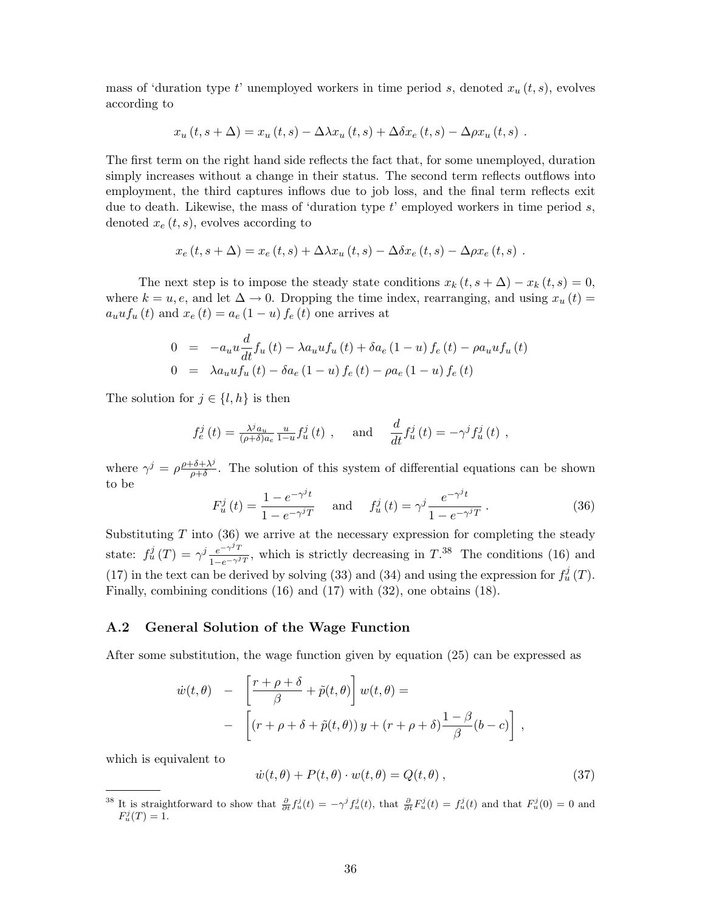mass of 'duration type t' unemployed workers in time period s, denoted  $x_u(t, s)$ , evolves according to

$$
x_u(t, s + \Delta) = x_u(t, s) - \Delta \lambda x_u(t, s) + \Delta \delta x_e(t, s) - \Delta \rho x_u(t, s) .
$$

The first term on the right hand side reflects the fact that, for some unemployed, duration simply increases without a change in their status. The second term reflects outflows into employment, the third captures inflows due to job loss, and the final term reflects exit due to death. Likewise, the mass of 'duration type  $t$ ' employed workers in time period  $s$ , denoted  $x_e(t, s)$ , evolves according to

$$
x_e(t, s + \Delta) = x_e(t, s) + \Delta \lambda x_u(t, s) - \Delta \delta x_e(t, s) - \Delta \rho x_e(t, s) .
$$

The next step is to impose the steady state conditions  $x_k (t, s + \Delta) - x_k (t, s) = 0$ , where  $k = u, e$ , and let  $\Delta \to 0$ . Dropping the time index, rearranging, and using  $x_u(t) =$  $a_uuf_u(t)$  and  $x_e(t) = a_e(1-u) f_e(t)$  one arrives at

$$
0 = -a_u u \frac{d}{dt} f_u(t) - \lambda a_u u f_u(t) + \delta a_e (1 - u) f_e(t) - \rho a_u u f_u(t)
$$
  
\n
$$
0 = \lambda a_u u f_u(t) - \delta a_e (1 - u) f_e(t) - \rho a_e (1 - u) f_e(t)
$$

The solution for  $j \in \{l, h\}$  is then

$$
f_e^j(t) = \frac{\lambda^j a_u}{(\rho + \delta) a_e} \frac{u}{1 - u} f_u^j(t) , \quad \text{and} \quad \frac{d}{dt} f_u^j(t) = -\gamma^j f_u^j(t) ,
$$

where  $\gamma^j = \rho \frac{\rho + \delta + \lambda^j}{\rho + \delta}$  $\frac{\partial^2 \phi + \lambda^2}{\partial \rho + \delta}$ . The solution of this system of differential equations can be shown to be j j

$$
F_u^j(t) = \frac{1 - e^{-\gamma^j t}}{1 - e^{-\gamma^j T}} \quad \text{and} \quad f_u^j(t) = \gamma^j \frac{e^{-\gamma^j t}}{1 - e^{-\gamma^j T}}.
$$
 (36)

Substituting  $T$  into (36) we arrive at the necessary expression for completing the steady state:  $f_u^j(T) = \gamma^j \frac{e^{-\gamma^j T}}{1 - e^{-\gamma^j}}$  $\frac{e^{-\gamma T}}{1-e^{-\gamma T}}$ , which is strictly decreasing in  $T^{38}$ . The conditions (16) and (17) in the text can be derived by solving (33) and (34) and using the expression for  $f_u^j(T)$ . Finally, combining conditions (16) and (17) with (32), one obtains (18).

#### A.2 General Solution of the Wage Function

After some substitution, the wage function given by equation (25) can be expressed as

$$
\dot{w}(t,\theta) - \left[\frac{r+\rho+\delta}{\beta} + \tilde{p}(t,\theta)\right]w(t,\theta) =
$$
  
- 
$$
\left[(r+\rho+\delta+\tilde{p}(t,\theta))y + (r+\rho+\delta)\frac{1-\beta}{\beta}(b-c)\right],
$$

which is equivalent to

$$
\dot{w}(t,\theta) + P(t,\theta) \cdot w(t,\theta) = Q(t,\theta) , \qquad (37)
$$

<sup>&</sup>lt;sup>38</sup> It is straightforward to show that  $\frac{\partial}{\partial t}f^j_u(t) = -\gamma^j f^j_u(t)$ , that  $\frac{\partial}{\partial t}F^j_u(t) = f^j_u(t)$  and that  $F^j_u(0) = 0$  and  $F_u^j(T) = 1.$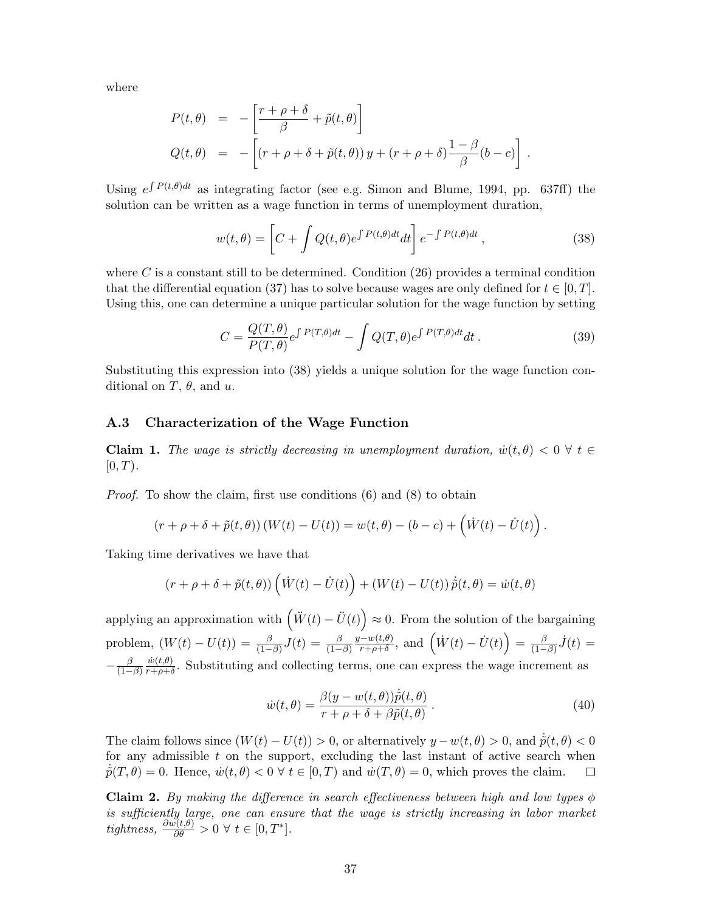where

$$
P(t, \theta) = -\left[\frac{r + \rho + \delta}{\beta} + \tilde{p}(t, \theta)\right]
$$
  
 
$$
Q(t, \theta) = -\left[(r + \rho + \delta + \tilde{p}(t, \theta))y + (r + \rho + \delta)\frac{1 - \beta}{\beta}(b - c)\right]
$$

Using  $e^{\int P(t,\theta)dt}$  as integrating factor (see e.g. Simon and Blume, 1994, pp. 637ff) the solution can be written as a wage function in terms of unemployment duration,

$$
w(t,\theta) = \left[C + \int Q(t,\theta)e^{\int P(t,\theta)dt}dt\right]e^{-\int P(t,\theta)dt},\qquad(38)
$$

.

where C is a constant still to be determined. Condition  $(26)$  provides a terminal condition that the differential equation (37) has to solve because wages are only defined for  $t \in [0, T]$ . Using this, one can determine a unique particular solution for the wage function by setting

$$
C = \frac{Q(T,\theta)}{P(T,\theta)} e^{\int P(T,\theta)dt} - \int Q(T,\theta) e^{\int P(T,\theta)dt} dt.
$$
 (39)

Substituting this expression into (38) yields a unique solution for the wage function conditional on  $T$ ,  $\theta$ , and  $u$ .

#### A.3 Characterization of the Wage Function

**Claim 1.** The wage is strictly decreasing in unemployment duration,  $\dot{w}(t, \theta) < 0 \ \forall t \in$  $[0, T)$ .

Proof. To show the claim, first use conditions (6) and (8) to obtain

$$
(r + \rho + \delta + \tilde{p}(t, \theta)) (W(t) - U(t)) = w(t, \theta) - (b - c) + (\dot{W}(t) - \dot{U}(t)).
$$

Taking time derivatives we have that

$$
(r + \rho + \delta + \tilde{p}(t, \theta)) \left(\dot{W}(t) - \dot{U}(t)\right) + (W(t) - U(t)) \dot{\tilde{p}}(t, \theta) = \dot{w}(t, \theta)
$$

applying an approximation with  $\left(\ddot{W}(t) - \ddot{U}(t)\right)$  $\approx 0$ . From the solution of the bargaining problem,  $(W(t) - U(t)) = \frac{\beta}{(1-\beta)}J(t) = \frac{\beta}{(1-\beta)}$  $y-w(t,\theta)$  $\frac{(-w(t,\theta))}{(r+\rho+\delta)}$ , and  $\left(\dot{W}(t)-\dot{U}(t)\right)$ ´  $=$   $\frac{\beta}{1}$  $\frac{\beta}{(1-\beta)}\dot{J}(t) =$  $-\frac{\beta}{11}$  $\overline{(1-\beta)}$  $\dot{w}(t,\theta)$  $\frac{w(t,\theta)}{r+\rho+\delta}$ . Substituting and collecting terms, one can express the wage increment as

$$
\dot{w}(t,\theta) = \frac{\beta(y - w(t,\theta))\dot{\tilde{p}}(t,\theta)}{r + \rho + \delta + \beta \tilde{p}(t,\theta)}.
$$
\n(40)

The claim follows since  $(W(t) - U(t)) > 0$ , or alternatively  $y - w(t, \theta) > 0$ , and  $\dot{\tilde{p}}(t, \theta) < 0$ for any admissible  $t$  on the support, excluding the last instant of active search when  $\dot{\tilde{p}}(T,\theta) = 0$ . Hence,  $\dot{w}(t,\theta) < 0 \ \forall \ t \in [0,T)$  and  $\dot{w}(T,\theta) = 0$ , which proves the claim.  $\Box$ 

Claim 2. By making the difference in search effectiveness between high and low types  $\phi$ is sufficiently large, one can ensure that the wage is strictly increasing in labor market tightness,  $\frac{\partial w(t,\theta)}{\partial \theta} > 0 \ \forall \ t \in [0,T^*].$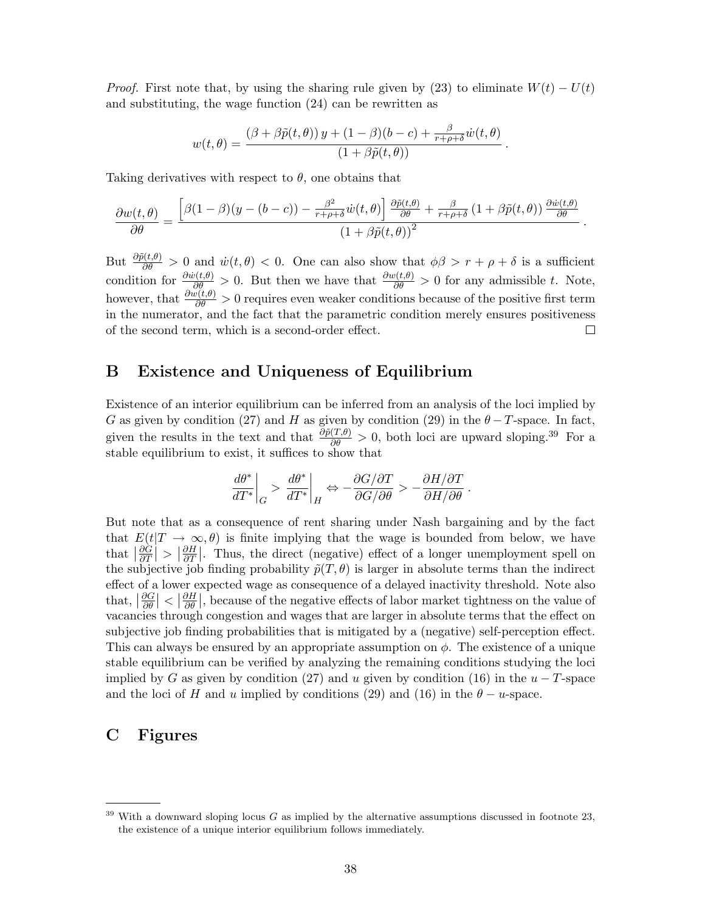*Proof.* First note that, by using the sharing rule given by (23) to eliminate  $W(t) - U(t)$ and substituting, the wage function (24) can be rewritten as

$$
w(t,\theta) = \frac{(\beta + \beta \tilde{p}(t,\theta)) y + (1-\beta)(b-c) + \frac{\beta}{r+\rho+\delta} \dot{w}(t,\theta)}{(1+\beta \tilde{p}(t,\theta))}.
$$

Taking derivatives with respect to  $\theta$ , one obtains that

$$
\frac{\partial w(t,\theta)}{\partial \theta} = \frac{\left[\beta(1-\beta)(y-(b-c)) - \frac{\beta^2}{r+\rho+\delta}\dot{w}(t,\theta)\right]\frac{\partial \tilde{p}(t,\theta)}{\partial \theta} + \frac{\beta}{r+\rho+\delta}\left(1+\beta\tilde{p}(t,\theta)\right)\frac{\partial \dot{w}(t,\theta)}{\partial \theta}}{(1+\beta\tilde{p}(t,\theta))^2}.
$$

But  $\frac{\partial \tilde{p}(t,\theta)}{\partial \theta} > 0$  and  $\dot{w}(t,\theta) < 0$ . One can also show that  $\phi\beta > r + \rho + \delta$  is a sufficient condition for  $\frac{\partial w(t,\theta)}{\partial \theta} > 0$ . But then we have that  $\frac{\partial w(t,\theta)}{\partial \theta} > 0$  for any admissible t. Note, however, that  $\frac{\partial w(t,\theta)}{\partial \theta} > 0$  requires even weaker conditions because of the positive first term in the numerator, and the fact that the parametric condition merely ensures positiveness of the second term, which is a second-order effect.  $\Box$ 

### B Existence and Uniqueness of Equilibrium

Existence of an interior equilibrium can be inferred from an analysis of the loci implied by G as given by condition (27) and H as given by condition (29) in the  $\theta - T$ -space. In fact, given the results in the text and that  $\frac{\partial \tilde{p}(T,\theta)}{\partial \theta} > 0$ , both loci are upward sloping.<sup>39</sup> For a stable equilibrium to exist, it suffices to show that

$$
\left. \frac{d\theta^*}{dT^*} \right|_G > \left. \frac{d\theta^*}{dT^*} \right|_H \Leftrightarrow -\frac{\partial G/\partial T}{\partial G/\partial \theta} > -\frac{\partial H/\partial T}{\partial H/\partial \theta} \; .
$$

But note that as a consequence of rent sharing under Nash bargaining and by the fact that  $E(t|T \to \infty, \theta)$  is finite implying that the wage is bounded from below, we have that  $\frac{\partial \hat{G}}{\partial T}$  $\frac{\partial \dot{G}}{\partial T}\big|>\big|\frac{\partial H}{\partial T}$  $\frac{\partial H}{\partial T}$ . Thus, the direct (negative) effect of a longer unemployment spell on the subjective job finding probability  $\tilde{p}(T, \theta)$  is larger in absolute terms than the indirect effect of a lower expected wage as consequence of a delayed inactivity threshold. Note also that,  $\frac{\partial G}{\partial \theta}$  $\left|\frac{\partial G}{\partial \theta}\right| < \left|\frac{\partial H}{\partial \theta}\right|$  $\frac{\partial H}{\partial \theta}$ , because of the negative effects of labor market tightness on the value of vacancies through congestion and wages that are larger in absolute terms that the effect on subjective job finding probabilities that is mitigated by a (negative) self-perception effect. This can always be ensured by an appropriate assumption on  $\phi$ . The existence of a unique stable equilibrium can be verified by analyzing the remaining conditions studying the loci implied by G as given by condition (27) and u given by condition (16) in the  $u - T$ -space and the loci of H and u implied by conditions (29) and (16) in the  $\theta - u$ -space.

## C Figures

 $39$  With a downward sloping locus G as implied by the alternative assumptions discussed in footnote 23, the existence of a unique interior equilibrium follows immediately.